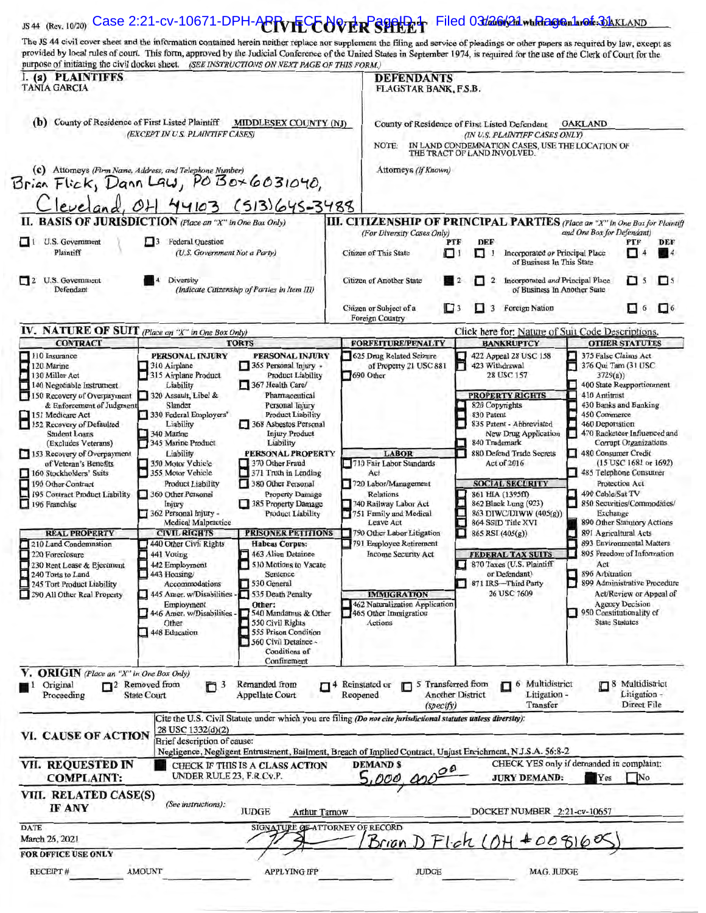| The JS 44 civil cover sheet and the information contained herein neither replace nor supplement the filing and service of pleadings or other papers as required by law, except as<br>provided by local rules of court. This form, approved by the Judicial Conference of the United States in September 1974, is required for the use of the Clerk of Court for the<br>purpose of initiating the civil docket sheet. (SEE INSTRUCTIONS ON NEXT PAGE OF THIS FORM.)<br>I. (a) PLAINTIFFS<br><b>DEFENDANTS</b><br><b>TANIA GARCIA</b><br>FLAGSTAR BANK, F.S.B.<br>(b) County of Residence of First Listed Plaintiff<br><b>MIDDLESEX COUNTY (NJ)</b><br>County of Residence of First Listed Defendant<br><b>OAKLAND</b><br>(EXCEPT IN U.S. PLAINTIFF CASES)<br>(IN U.S. PLAINTIFF CASES ONLY)<br>IN LAND CONDEMNATION CASES, USE THE LOCATION OF<br>NOTE:<br>THE TRACT OF LAND INVOLVED.<br>(c) Attorneys (Firm Name, Address, and Telephone Number)<br>Attorneys (If Known)<br>Brian $Flick$ , $DanUau$ , $PoBox6031040$ ,<br>Cleveland, 04 44103 (513) 645-3488<br>II. BASIS OF JURISDICTION (Place an "X" in One Box Only)<br><b>III. CITIZENSHIP OF PRINCIPAL PARTIES</b> (Place an "X" in One Box for Plaintiff<br>(For Diversity Cases Only)<br>and One Box for Defendant)<br>U.S. Government<br>н<br><b>Federal Ouestion</b><br>PTF<br>DEF<br>PTF<br>Plaintiff<br>(U.S. Government Not a Party)<br>Citizen of This State<br>oч<br>П<br>Incorporated or Principal Place<br>п<br>of Business In This State<br>U.S. Government<br>Diversity<br>Citizen of Another State<br>Incorporated and Principal Place<br>$\overline{2}$<br>п<br>5<br><b>A</b><br>Defendant<br>(Indicate Citizenship of Parties in Item III)<br>of Business In Another State<br>Citizen or Subject of a<br>$\Box$ 3<br>Foreign Nation<br>$\Box$ 6<br>3<br>u<br>Foreign Country<br>IV. NATURE OF SUIT (Place an "X" in One Box Only)<br>Click here for: Nature of Suit Code Descriptions.<br><b>CONTRACT</b><br><b>TORTS</b><br><b>FORFEITURE/PENALTY</b><br><b>BANKRUPTCY</b><br><b>OTHER STATUTES</b><br>110 Insurance<br>PERSONAL INJURY<br>PERSONAL INJURY<br>625 Drug Related Seizure<br>E.<br>422 Appeal 28 USC 158<br>375 False Claims Act<br>120 Marine<br>H.<br>310 Airplane<br>365 Personal Injury -<br>of Property 21 USC 881<br>423 Withdrawal<br>376 Qui Tam (31 USC<br>ω,<br>130 Miller Act<br>315 Airplane Product<br>Product Liability<br>690 Other<br>28 USC 157<br>3729(a)<br>140 Negotiable Instrument<br>Liability<br>367 Health Care/<br>400 State Reapportionment<br>L.<br>150 Recovery of Overpayment<br>320 Assault, Libel &<br>Pharmaceutical<br><b>PROPERTY RIGHTS</b><br>410 Antitrust<br>& Enforcement of Judgment<br>Slander<br>Personal Injury<br>430 Banks and Banking<br>820 Copyrights<br>151 Medicare Act<br>330 Federal Employers'<br><b>Product Liability</b><br>830 Patent<br>450 Commerce<br>п<br>152 Recovery of Defaulted<br>368 Asbestos Personal<br>Liability<br>835 Patent - Abbreviated<br>460 Deportation<br><b>Injury Product</b><br><b>Student Loans</b><br>340 Marine<br>New Drug Application<br>345 Marine Product<br>(Excludes Veterans)<br>Liability<br>840 Trademark<br><b>Corrupt Organizations</b><br>153 Recovery of Overpayment<br>Liability<br>PERSONAL PROPERTY<br><b>LABOR</b><br>880 Defend Trade Secrets<br>480 Consumer Credit<br>of Veteran's Benefits<br>370 Other Fraud<br>710 Fair Labor Standards<br>350 Motor Vehicle<br>$(15$ USC 1681 or 1692)<br>Act of 2016<br>P.<br>160 Stockholders' Suits<br>355 Motor Vehicle<br>371 Truth in Lending<br>485 Telephone Consumer<br>Act<br>190 Other Contract<br>380 Other Personal<br><b>Product Liability</b><br>720 Labor/Management<br><b>SOCIAL SECURITY</b><br>Protection Act<br>t.<br>195 Contract Product Liability<br>360 Other Personal<br>Property Damage<br>490 Cable/Sat TV<br>Relations<br>861 HIA (1395ff)<br>E.<br>196 Franchise<br>Injury<br>385 Property Damage<br>862 Black Lung (923)<br>740 Railway Labor Act<br>362 Personal Injury -<br><b>Product Liability</b><br>863 DIWC/DIWW (405(g))<br>751 Family and Medical<br>Exchange<br><b>Medical Malpractice</b><br>864 SSID Title XVI<br>Leave Act<br>890 Other Statutory Actions<br><b>REAL PROPERTY</b><br><b>CIVIL RIGHTS</b><br><b>PRISONER PETITIONS</b><br>790 Other Labor Litigation<br>$865$ RSI (405(g))<br>891 Agricultural Acts<br>440 Other Civil Rights<br>210 Land Condemnation<br><b>Habeas Corpus:</b><br>791 Employee Retirement<br>893 Environmental Matters<br>220 Foreclosure<br>441 Voting<br>463 Alien Detainee<br>895 Freedom of Information<br><b>Income Security Act</b><br><b>FEDERAL TAX SUITS</b><br>442 Employment<br>870 Taxes (U.S. Plaintiff<br>230 Rent Lease & Ejectment<br>510 Motions to Vacate<br>Act<br>240 Torts to Land<br>443 Housing/<br>Sentence<br>or Defendant)<br>896 Arbitration<br>899 Administrative Procedure<br>245 Tort Product Liability<br>Accommodations<br>530 General<br>871 IRS-Third Party<br>290 All Other Real Property<br>445 Amer. w/Disabilities -<br>535 Death Penalty<br>26 USC 7609<br><b>IMMIGRATION</b><br>ш<br>Other:<br>462 Naturalization Application<br>Employment<br><b>Agency Decision</b><br>446 Amer. w/Disabilities -<br>540 Mandamus & Other<br>465 Other Immigration<br>950 Constitutionality of<br>550 Civil Rights<br><b>State Statutes</b><br>Other<br>Actions<br>555 Prison Condition<br>448 Education<br>560 Civil Detainee -<br>Conditions of<br>Confinement<br>V. ORIGIN (Place an "X" in One Box Only)<br>7 <sup>2</sup> Removed from<br>Original<br>$\Box$ <sup>3</sup><br>Remanded from<br>$\Box$ <sup>4</sup> Reinstated or<br>5 Transferred from<br>Multidistrict<br>8 Multidistrict<br>6<br>п<br>Proceeding<br><b>State Court</b><br><b>Appellate Court</b><br><b>Another District</b><br>Litigation -<br>Reopened<br>Litigation -<br>Direct File<br>Transfer<br>(specify)<br>Cite the U.S. Civil Statute under which you are filing (Do not cite jurisdictional statutes unless diversity):<br>28 USC 1332(d)(2)<br>VI. CAUSE OF ACTION<br>Brief description of cause:<br>Negligence, Negligent Entrustment, Bailment, Breach of Implied Contract, Unjust Enrichment, N.J.S.A. 56:8-2<br>VII. REQUESTED IN<br>CHECK YES only if demanded in complaint:<br><b>DEMANDS</b><br>CHECK IF THIS IS A CLASS ACTION<br>UNDER RULE 23, F.R.Cv.P.<br>5,000,000<br><b>COMPLAINT:</b><br>Yes<br><b>JURY DEMAND:</b><br>No<br>VIII. RELATED CASE(S)<br>(See instructions):<br>IF ANY<br><b>JUDGE</b><br><b>Arthur Tarnow</b><br>DOCKET NUMBER 2:21-cv-10657<br><b>DATE</b><br>SIGNATURE QEATTORNEY OF RECORD<br>March 26, 2021<br>$DF1ch (OH + 008160)$<br>Brian<br><b>FOR OFFICE USE ONLY</b> |  |  | JS 44 (Rev. 10/20) Case 2:21-CV-10671-DPH-ACRVIECOVER SHAP Filed 03/26/21 which algo harole: 31 AKLAND |                              |  |
|---------------------------------------------------------------------------------------------------------------------------------------------------------------------------------------------------------------------------------------------------------------------------------------------------------------------------------------------------------------------------------------------------------------------------------------------------------------------------------------------------------------------------------------------------------------------------------------------------------------------------------------------------------------------------------------------------------------------------------------------------------------------------------------------------------------------------------------------------------------------------------------------------------------------------------------------------------------------------------------------------------------------------------------------------------------------------------------------------------------------------------------------------------------------------------------------------------------------------------------------------------------------------------------------------------------------------------------------------------------------------------------------------------------------------------------------------------------------------------------------------------------------------------------------------------------------------------------------------------------------------------------------------------------------------------------------------------------------------------------------------------------------------------------------------------------------------------------------------------------------------------------------------------------------------------------------------------------------------------------------------------------------------------------------------------------------------------------------------------------------------------------------------------------------------------------------------------------------------------------------------------------------------------------------------------------------------------------------------------------------------------------------------------------------------------------------------------------------------------------------------------------------------------------------------------------------------------------------------------------------------------------------------------------------------------------------------------------------------------------------------------------------------------------------------------------------------------------------------------------------------------------------------------------------------------------------------------------------------------------------------------------------------------------------------------------------------------------------------------------------------------------------------------------------------------------------------------------------------------------------------------------------------------------------------------------------------------------------------------------------------------------------------------------------------------------------------------------------------------------------------------------------------------------------------------------------------------------------------------------------------------------------------------------------------------------------------------------------------------------------------------------------------------------------------------------------------------------------------------------------------------------------------------------------------------------------------------------------------------------------------------------------------------------------------------------------------------------------------------------------------------------------------------------------------------------------------------------------------------------------------------------------------------------------------------------------------------------------------------------------------------------------------------------------------------------------------------------------------------------------------------------------------------------------------------------------------------------------------------------------------------------------------------------------------------------------------------------------------------------------------------------------------------------------------------------------------------------------------------------------------------------------------------------------------------------------------------------------------------------------------------------------------------------------------------------------------------------------------------------------------------------------------------------------------------------------------------------------------------------------------------------------------------------------------------------------------------------------------------------------------------------------------------------------------------------------------------------------------------------------------------------------------------------------------------------------------------------------------------------------------------------------------------------------------------------------------------------------------------------------------------------------------------------------------------------------------------------------------------------------------------------------------------------------------------------------------------------------------------------------------------------------------------------------------------------------------------------------------------------------------------------------------------------------------------------------------------------------------------------------------------------------------------------------------------------------------------------------------------------------------------------------------------------------------------------------------------------------------------------------------------------------------------------------------------------------------------------------------------------------------------------------------------------------------------------------------------------------------------------|--|--|--------------------------------------------------------------------------------------------------------|------------------------------|--|
|                                                                                                                                                                                                                                                                                                                                                                                                                                                                                                                                                                                                                                                                                                                                                                                                                                                                                                                                                                                                                                                                                                                                                                                                                                                                                                                                                                                                                                                                                                                                                                                                                                                                                                                                                                                                                                                                                                                                                                                                                                                                                                                                                                                                                                                                                                                                                                                                                                                                                                                                                                                                                                                                                                                                                                                                                                                                                                                                                                                                                                                                                                                                                                                                                                                                                                                                                                                                                                                                                                                                                                                                                                                                                                                                                                                                                                                                                                                                                                                                                                                                                                                                                                                                                                                                                                                                                                                                                                                                                                                                                                                                                                                                                                                                                                                                                                                                                                                                                                                                                                                                                                                                                                                                                                                                                                                                                                                                                                                                                                                                                                                                                                                                                                                                                                                                                                                                                                                                                                                                                                                                                                                                                                                                                                                                                                                                                                                                                                                                                                                                                                                                                                                                                                                                       |  |  |                                                                                                        |                              |  |
|                                                                                                                                                                                                                                                                                                                                                                                                                                                                                                                                                                                                                                                                                                                                                                                                                                                                                                                                                                                                                                                                                                                                                                                                                                                                                                                                                                                                                                                                                                                                                                                                                                                                                                                                                                                                                                                                                                                                                                                                                                                                                                                                                                                                                                                                                                                                                                                                                                                                                                                                                                                                                                                                                                                                                                                                                                                                                                                                                                                                                                                                                                                                                                                                                                                                                                                                                                                                                                                                                                                                                                                                                                                                                                                                                                                                                                                                                                                                                                                                                                                                                                                                                                                                                                                                                                                                                                                                                                                                                                                                                                                                                                                                                                                                                                                                                                                                                                                                                                                                                                                                                                                                                                                                                                                                                                                                                                                                                                                                                                                                                                                                                                                                                                                                                                                                                                                                                                                                                                                                                                                                                                                                                                                                                                                                                                                                                                                                                                                                                                                                                                                                                                                                                                                                       |  |  |                                                                                                        |                              |  |
|                                                                                                                                                                                                                                                                                                                                                                                                                                                                                                                                                                                                                                                                                                                                                                                                                                                                                                                                                                                                                                                                                                                                                                                                                                                                                                                                                                                                                                                                                                                                                                                                                                                                                                                                                                                                                                                                                                                                                                                                                                                                                                                                                                                                                                                                                                                                                                                                                                                                                                                                                                                                                                                                                                                                                                                                                                                                                                                                                                                                                                                                                                                                                                                                                                                                                                                                                                                                                                                                                                                                                                                                                                                                                                                                                                                                                                                                                                                                                                                                                                                                                                                                                                                                                                                                                                                                                                                                                                                                                                                                                                                                                                                                                                                                                                                                                                                                                                                                                                                                                                                                                                                                                                                                                                                                                                                                                                                                                                                                                                                                                                                                                                                                                                                                                                                                                                                                                                                                                                                                                                                                                                                                                                                                                                                                                                                                                                                                                                                                                                                                                                                                                                                                                                                                       |  |  |                                                                                                        |                              |  |
|                                                                                                                                                                                                                                                                                                                                                                                                                                                                                                                                                                                                                                                                                                                                                                                                                                                                                                                                                                                                                                                                                                                                                                                                                                                                                                                                                                                                                                                                                                                                                                                                                                                                                                                                                                                                                                                                                                                                                                                                                                                                                                                                                                                                                                                                                                                                                                                                                                                                                                                                                                                                                                                                                                                                                                                                                                                                                                                                                                                                                                                                                                                                                                                                                                                                                                                                                                                                                                                                                                                                                                                                                                                                                                                                                                                                                                                                                                                                                                                                                                                                                                                                                                                                                                                                                                                                                                                                                                                                                                                                                                                                                                                                                                                                                                                                                                                                                                                                                                                                                                                                                                                                                                                                                                                                                                                                                                                                                                                                                                                                                                                                                                                                                                                                                                                                                                                                                                                                                                                                                                                                                                                                                                                                                                                                                                                                                                                                                                                                                                                                                                                                                                                                                                                                       |  |  |                                                                                                        |                              |  |
|                                                                                                                                                                                                                                                                                                                                                                                                                                                                                                                                                                                                                                                                                                                                                                                                                                                                                                                                                                                                                                                                                                                                                                                                                                                                                                                                                                                                                                                                                                                                                                                                                                                                                                                                                                                                                                                                                                                                                                                                                                                                                                                                                                                                                                                                                                                                                                                                                                                                                                                                                                                                                                                                                                                                                                                                                                                                                                                                                                                                                                                                                                                                                                                                                                                                                                                                                                                                                                                                                                                                                                                                                                                                                                                                                                                                                                                                                                                                                                                                                                                                                                                                                                                                                                                                                                                                                                                                                                                                                                                                                                                                                                                                                                                                                                                                                                                                                                                                                                                                                                                                                                                                                                                                                                                                                                                                                                                                                                                                                                                                                                                                                                                                                                                                                                                                                                                                                                                                                                                                                                                                                                                                                                                                                                                                                                                                                                                                                                                                                                                                                                                                                                                                                                                                       |  |  |                                                                                                        |                              |  |
|                                                                                                                                                                                                                                                                                                                                                                                                                                                                                                                                                                                                                                                                                                                                                                                                                                                                                                                                                                                                                                                                                                                                                                                                                                                                                                                                                                                                                                                                                                                                                                                                                                                                                                                                                                                                                                                                                                                                                                                                                                                                                                                                                                                                                                                                                                                                                                                                                                                                                                                                                                                                                                                                                                                                                                                                                                                                                                                                                                                                                                                                                                                                                                                                                                                                                                                                                                                                                                                                                                                                                                                                                                                                                                                                                                                                                                                                                                                                                                                                                                                                                                                                                                                                                                                                                                                                                                                                                                                                                                                                                                                                                                                                                                                                                                                                                                                                                                                                                                                                                                                                                                                                                                                                                                                                                                                                                                                                                                                                                                                                                                                                                                                                                                                                                                                                                                                                                                                                                                                                                                                                                                                                                                                                                                                                                                                                                                                                                                                                                                                                                                                                                                                                                                                                       |  |  |                                                                                                        |                              |  |
|                                                                                                                                                                                                                                                                                                                                                                                                                                                                                                                                                                                                                                                                                                                                                                                                                                                                                                                                                                                                                                                                                                                                                                                                                                                                                                                                                                                                                                                                                                                                                                                                                                                                                                                                                                                                                                                                                                                                                                                                                                                                                                                                                                                                                                                                                                                                                                                                                                                                                                                                                                                                                                                                                                                                                                                                                                                                                                                                                                                                                                                                                                                                                                                                                                                                                                                                                                                                                                                                                                                                                                                                                                                                                                                                                                                                                                                                                                                                                                                                                                                                                                                                                                                                                                                                                                                                                                                                                                                                                                                                                                                                                                                                                                                                                                                                                                                                                                                                                                                                                                                                                                                                                                                                                                                                                                                                                                                                                                                                                                                                                                                                                                                                                                                                                                                                                                                                                                                                                                                                                                                                                                                                                                                                                                                                                                                                                                                                                                                                                                                                                                                                                                                                                                                                       |  |  |                                                                                                        |                              |  |
|                                                                                                                                                                                                                                                                                                                                                                                                                                                                                                                                                                                                                                                                                                                                                                                                                                                                                                                                                                                                                                                                                                                                                                                                                                                                                                                                                                                                                                                                                                                                                                                                                                                                                                                                                                                                                                                                                                                                                                                                                                                                                                                                                                                                                                                                                                                                                                                                                                                                                                                                                                                                                                                                                                                                                                                                                                                                                                                                                                                                                                                                                                                                                                                                                                                                                                                                                                                                                                                                                                                                                                                                                                                                                                                                                                                                                                                                                                                                                                                                                                                                                                                                                                                                                                                                                                                                                                                                                                                                                                                                                                                                                                                                                                                                                                                                                                                                                                                                                                                                                                                                                                                                                                                                                                                                                                                                                                                                                                                                                                                                                                                                                                                                                                                                                                                                                                                                                                                                                                                                                                                                                                                                                                                                                                                                                                                                                                                                                                                                                                                                                                                                                                                                                                                                       |  |  |                                                                                                        |                              |  |
|                                                                                                                                                                                                                                                                                                                                                                                                                                                                                                                                                                                                                                                                                                                                                                                                                                                                                                                                                                                                                                                                                                                                                                                                                                                                                                                                                                                                                                                                                                                                                                                                                                                                                                                                                                                                                                                                                                                                                                                                                                                                                                                                                                                                                                                                                                                                                                                                                                                                                                                                                                                                                                                                                                                                                                                                                                                                                                                                                                                                                                                                                                                                                                                                                                                                                                                                                                                                                                                                                                                                                                                                                                                                                                                                                                                                                                                                                                                                                                                                                                                                                                                                                                                                                                                                                                                                                                                                                                                                                                                                                                                                                                                                                                                                                                                                                                                                                                                                                                                                                                                                                                                                                                                                                                                                                                                                                                                                                                                                                                                                                                                                                                                                                                                                                                                                                                                                                                                                                                                                                                                                                                                                                                                                                                                                                                                                                                                                                                                                                                                                                                                                                                                                                                                                       |  |  |                                                                                                        |                              |  |
|                                                                                                                                                                                                                                                                                                                                                                                                                                                                                                                                                                                                                                                                                                                                                                                                                                                                                                                                                                                                                                                                                                                                                                                                                                                                                                                                                                                                                                                                                                                                                                                                                                                                                                                                                                                                                                                                                                                                                                                                                                                                                                                                                                                                                                                                                                                                                                                                                                                                                                                                                                                                                                                                                                                                                                                                                                                                                                                                                                                                                                                                                                                                                                                                                                                                                                                                                                                                                                                                                                                                                                                                                                                                                                                                                                                                                                                                                                                                                                                                                                                                                                                                                                                                                                                                                                                                                                                                                                                                                                                                                                                                                                                                                                                                                                                                                                                                                                                                                                                                                                                                                                                                                                                                                                                                                                                                                                                                                                                                                                                                                                                                                                                                                                                                                                                                                                                                                                                                                                                                                                                                                                                                                                                                                                                                                                                                                                                                                                                                                                                                                                                                                                                                                                                                       |  |  |                                                                                                        | <b>DEF</b>                   |  |
|                                                                                                                                                                                                                                                                                                                                                                                                                                                                                                                                                                                                                                                                                                                                                                                                                                                                                                                                                                                                                                                                                                                                                                                                                                                                                                                                                                                                                                                                                                                                                                                                                                                                                                                                                                                                                                                                                                                                                                                                                                                                                                                                                                                                                                                                                                                                                                                                                                                                                                                                                                                                                                                                                                                                                                                                                                                                                                                                                                                                                                                                                                                                                                                                                                                                                                                                                                                                                                                                                                                                                                                                                                                                                                                                                                                                                                                                                                                                                                                                                                                                                                                                                                                                                                                                                                                                                                                                                                                                                                                                                                                                                                                                                                                                                                                                                                                                                                                                                                                                                                                                                                                                                                                                                                                                                                                                                                                                                                                                                                                                                                                                                                                                                                                                                                                                                                                                                                                                                                                                                                                                                                                                                                                                                                                                                                                                                                                                                                                                                                                                                                                                                                                                                                                                       |  |  |                                                                                                        | -4                           |  |
|                                                                                                                                                                                                                                                                                                                                                                                                                                                                                                                                                                                                                                                                                                                                                                                                                                                                                                                                                                                                                                                                                                                                                                                                                                                                                                                                                                                                                                                                                                                                                                                                                                                                                                                                                                                                                                                                                                                                                                                                                                                                                                                                                                                                                                                                                                                                                                                                                                                                                                                                                                                                                                                                                                                                                                                                                                                                                                                                                                                                                                                                                                                                                                                                                                                                                                                                                                                                                                                                                                                                                                                                                                                                                                                                                                                                                                                                                                                                                                                                                                                                                                                                                                                                                                                                                                                                                                                                                                                                                                                                                                                                                                                                                                                                                                                                                                                                                                                                                                                                                                                                                                                                                                                                                                                                                                                                                                                                                                                                                                                                                                                                                                                                                                                                                                                                                                                                                                                                                                                                                                                                                                                                                                                                                                                                                                                                                                                                                                                                                                                                                                                                                                                                                                                                       |  |  |                                                                                                        | $\Box$ <sup>5</sup>          |  |
|                                                                                                                                                                                                                                                                                                                                                                                                                                                                                                                                                                                                                                                                                                                                                                                                                                                                                                                                                                                                                                                                                                                                                                                                                                                                                                                                                                                                                                                                                                                                                                                                                                                                                                                                                                                                                                                                                                                                                                                                                                                                                                                                                                                                                                                                                                                                                                                                                                                                                                                                                                                                                                                                                                                                                                                                                                                                                                                                                                                                                                                                                                                                                                                                                                                                                                                                                                                                                                                                                                                                                                                                                                                                                                                                                                                                                                                                                                                                                                                                                                                                                                                                                                                                                                                                                                                                                                                                                                                                                                                                                                                                                                                                                                                                                                                                                                                                                                                                                                                                                                                                                                                                                                                                                                                                                                                                                                                                                                                                                                                                                                                                                                                                                                                                                                                                                                                                                                                                                                                                                                                                                                                                                                                                                                                                                                                                                                                                                                                                                                                                                                                                                                                                                                                                       |  |  |                                                                                                        | $\Box$                       |  |
|                                                                                                                                                                                                                                                                                                                                                                                                                                                                                                                                                                                                                                                                                                                                                                                                                                                                                                                                                                                                                                                                                                                                                                                                                                                                                                                                                                                                                                                                                                                                                                                                                                                                                                                                                                                                                                                                                                                                                                                                                                                                                                                                                                                                                                                                                                                                                                                                                                                                                                                                                                                                                                                                                                                                                                                                                                                                                                                                                                                                                                                                                                                                                                                                                                                                                                                                                                                                                                                                                                                                                                                                                                                                                                                                                                                                                                                                                                                                                                                                                                                                                                                                                                                                                                                                                                                                                                                                                                                                                                                                                                                                                                                                                                                                                                                                                                                                                                                                                                                                                                                                                                                                                                                                                                                                                                                                                                                                                                                                                                                                                                                                                                                                                                                                                                                                                                                                                                                                                                                                                                                                                                                                                                                                                                                                                                                                                                                                                                                                                                                                                                                                                                                                                                                                       |  |  |                                                                                                        |                              |  |
|                                                                                                                                                                                                                                                                                                                                                                                                                                                                                                                                                                                                                                                                                                                                                                                                                                                                                                                                                                                                                                                                                                                                                                                                                                                                                                                                                                                                                                                                                                                                                                                                                                                                                                                                                                                                                                                                                                                                                                                                                                                                                                                                                                                                                                                                                                                                                                                                                                                                                                                                                                                                                                                                                                                                                                                                                                                                                                                                                                                                                                                                                                                                                                                                                                                                                                                                                                                                                                                                                                                                                                                                                                                                                                                                                                                                                                                                                                                                                                                                                                                                                                                                                                                                                                                                                                                                                                                                                                                                                                                                                                                                                                                                                                                                                                                                                                                                                                                                                                                                                                                                                                                                                                                                                                                                                                                                                                                                                                                                                                                                                                                                                                                                                                                                                                                                                                                                                                                                                                                                                                                                                                                                                                                                                                                                                                                                                                                                                                                                                                                                                                                                                                                                                                                                       |  |  |                                                                                                        |                              |  |
|                                                                                                                                                                                                                                                                                                                                                                                                                                                                                                                                                                                                                                                                                                                                                                                                                                                                                                                                                                                                                                                                                                                                                                                                                                                                                                                                                                                                                                                                                                                                                                                                                                                                                                                                                                                                                                                                                                                                                                                                                                                                                                                                                                                                                                                                                                                                                                                                                                                                                                                                                                                                                                                                                                                                                                                                                                                                                                                                                                                                                                                                                                                                                                                                                                                                                                                                                                                                                                                                                                                                                                                                                                                                                                                                                                                                                                                                                                                                                                                                                                                                                                                                                                                                                                                                                                                                                                                                                                                                                                                                                                                                                                                                                                                                                                                                                                                                                                                                                                                                                                                                                                                                                                                                                                                                                                                                                                                                                                                                                                                                                                                                                                                                                                                                                                                                                                                                                                                                                                                                                                                                                                                                                                                                                                                                                                                                                                                                                                                                                                                                                                                                                                                                                                                                       |  |  |                                                                                                        |                              |  |
|                                                                                                                                                                                                                                                                                                                                                                                                                                                                                                                                                                                                                                                                                                                                                                                                                                                                                                                                                                                                                                                                                                                                                                                                                                                                                                                                                                                                                                                                                                                                                                                                                                                                                                                                                                                                                                                                                                                                                                                                                                                                                                                                                                                                                                                                                                                                                                                                                                                                                                                                                                                                                                                                                                                                                                                                                                                                                                                                                                                                                                                                                                                                                                                                                                                                                                                                                                                                                                                                                                                                                                                                                                                                                                                                                                                                                                                                                                                                                                                                                                                                                                                                                                                                                                                                                                                                                                                                                                                                                                                                                                                                                                                                                                                                                                                                                                                                                                                                                                                                                                                                                                                                                                                                                                                                                                                                                                                                                                                                                                                                                                                                                                                                                                                                                                                                                                                                                                                                                                                                                                                                                                                                                                                                                                                                                                                                                                                                                                                                                                                                                                                                                                                                                                                                       |  |  |                                                                                                        |                              |  |
|                                                                                                                                                                                                                                                                                                                                                                                                                                                                                                                                                                                                                                                                                                                                                                                                                                                                                                                                                                                                                                                                                                                                                                                                                                                                                                                                                                                                                                                                                                                                                                                                                                                                                                                                                                                                                                                                                                                                                                                                                                                                                                                                                                                                                                                                                                                                                                                                                                                                                                                                                                                                                                                                                                                                                                                                                                                                                                                                                                                                                                                                                                                                                                                                                                                                                                                                                                                                                                                                                                                                                                                                                                                                                                                                                                                                                                                                                                                                                                                                                                                                                                                                                                                                                                                                                                                                                                                                                                                                                                                                                                                                                                                                                                                                                                                                                                                                                                                                                                                                                                                                                                                                                                                                                                                                                                                                                                                                                                                                                                                                                                                                                                                                                                                                                                                                                                                                                                                                                                                                                                                                                                                                                                                                                                                                                                                                                                                                                                                                                                                                                                                                                                                                                                                                       |  |  |                                                                                                        |                              |  |
|                                                                                                                                                                                                                                                                                                                                                                                                                                                                                                                                                                                                                                                                                                                                                                                                                                                                                                                                                                                                                                                                                                                                                                                                                                                                                                                                                                                                                                                                                                                                                                                                                                                                                                                                                                                                                                                                                                                                                                                                                                                                                                                                                                                                                                                                                                                                                                                                                                                                                                                                                                                                                                                                                                                                                                                                                                                                                                                                                                                                                                                                                                                                                                                                                                                                                                                                                                                                                                                                                                                                                                                                                                                                                                                                                                                                                                                                                                                                                                                                                                                                                                                                                                                                                                                                                                                                                                                                                                                                                                                                                                                                                                                                                                                                                                                                                                                                                                                                                                                                                                                                                                                                                                                                                                                                                                                                                                                                                                                                                                                                                                                                                                                                                                                                                                                                                                                                                                                                                                                                                                                                                                                                                                                                                                                                                                                                                                                                                                                                                                                                                                                                                                                                                                                                       |  |  |                                                                                                        | 470 Racketeer Influenced and |  |
|                                                                                                                                                                                                                                                                                                                                                                                                                                                                                                                                                                                                                                                                                                                                                                                                                                                                                                                                                                                                                                                                                                                                                                                                                                                                                                                                                                                                                                                                                                                                                                                                                                                                                                                                                                                                                                                                                                                                                                                                                                                                                                                                                                                                                                                                                                                                                                                                                                                                                                                                                                                                                                                                                                                                                                                                                                                                                                                                                                                                                                                                                                                                                                                                                                                                                                                                                                                                                                                                                                                                                                                                                                                                                                                                                                                                                                                                                                                                                                                                                                                                                                                                                                                                                                                                                                                                                                                                                                                                                                                                                                                                                                                                                                                                                                                                                                                                                                                                                                                                                                                                                                                                                                                                                                                                                                                                                                                                                                                                                                                                                                                                                                                                                                                                                                                                                                                                                                                                                                                                                                                                                                                                                                                                                                                                                                                                                                                                                                                                                                                                                                                                                                                                                                                                       |  |  |                                                                                                        |                              |  |
|                                                                                                                                                                                                                                                                                                                                                                                                                                                                                                                                                                                                                                                                                                                                                                                                                                                                                                                                                                                                                                                                                                                                                                                                                                                                                                                                                                                                                                                                                                                                                                                                                                                                                                                                                                                                                                                                                                                                                                                                                                                                                                                                                                                                                                                                                                                                                                                                                                                                                                                                                                                                                                                                                                                                                                                                                                                                                                                                                                                                                                                                                                                                                                                                                                                                                                                                                                                                                                                                                                                                                                                                                                                                                                                                                                                                                                                                                                                                                                                                                                                                                                                                                                                                                                                                                                                                                                                                                                                                                                                                                                                                                                                                                                                                                                                                                                                                                                                                                                                                                                                                                                                                                                                                                                                                                                                                                                                                                                                                                                                                                                                                                                                                                                                                                                                                                                                                                                                                                                                                                                                                                                                                                                                                                                                                                                                                                                                                                                                                                                                                                                                                                                                                                                                                       |  |  |                                                                                                        |                              |  |
|                                                                                                                                                                                                                                                                                                                                                                                                                                                                                                                                                                                                                                                                                                                                                                                                                                                                                                                                                                                                                                                                                                                                                                                                                                                                                                                                                                                                                                                                                                                                                                                                                                                                                                                                                                                                                                                                                                                                                                                                                                                                                                                                                                                                                                                                                                                                                                                                                                                                                                                                                                                                                                                                                                                                                                                                                                                                                                                                                                                                                                                                                                                                                                                                                                                                                                                                                                                                                                                                                                                                                                                                                                                                                                                                                                                                                                                                                                                                                                                                                                                                                                                                                                                                                                                                                                                                                                                                                                                                                                                                                                                                                                                                                                                                                                                                                                                                                                                                                                                                                                                                                                                                                                                                                                                                                                                                                                                                                                                                                                                                                                                                                                                                                                                                                                                                                                                                                                                                                                                                                                                                                                                                                                                                                                                                                                                                                                                                                                                                                                                                                                                                                                                                                                                                       |  |  |                                                                                                        |                              |  |
|                                                                                                                                                                                                                                                                                                                                                                                                                                                                                                                                                                                                                                                                                                                                                                                                                                                                                                                                                                                                                                                                                                                                                                                                                                                                                                                                                                                                                                                                                                                                                                                                                                                                                                                                                                                                                                                                                                                                                                                                                                                                                                                                                                                                                                                                                                                                                                                                                                                                                                                                                                                                                                                                                                                                                                                                                                                                                                                                                                                                                                                                                                                                                                                                                                                                                                                                                                                                                                                                                                                                                                                                                                                                                                                                                                                                                                                                                                                                                                                                                                                                                                                                                                                                                                                                                                                                                                                                                                                                                                                                                                                                                                                                                                                                                                                                                                                                                                                                                                                                                                                                                                                                                                                                                                                                                                                                                                                                                                                                                                                                                                                                                                                                                                                                                                                                                                                                                                                                                                                                                                                                                                                                                                                                                                                                                                                                                                                                                                                                                                                                                                                                                                                                                                                                       |  |  |                                                                                                        | 850 Securities/Commodities/  |  |
|                                                                                                                                                                                                                                                                                                                                                                                                                                                                                                                                                                                                                                                                                                                                                                                                                                                                                                                                                                                                                                                                                                                                                                                                                                                                                                                                                                                                                                                                                                                                                                                                                                                                                                                                                                                                                                                                                                                                                                                                                                                                                                                                                                                                                                                                                                                                                                                                                                                                                                                                                                                                                                                                                                                                                                                                                                                                                                                                                                                                                                                                                                                                                                                                                                                                                                                                                                                                                                                                                                                                                                                                                                                                                                                                                                                                                                                                                                                                                                                                                                                                                                                                                                                                                                                                                                                                                                                                                                                                                                                                                                                                                                                                                                                                                                                                                                                                                                                                                                                                                                                                                                                                                                                                                                                                                                                                                                                                                                                                                                                                                                                                                                                                                                                                                                                                                                                                                                                                                                                                                                                                                                                                                                                                                                                                                                                                                                                                                                                                                                                                                                                                                                                                                                                                       |  |  |                                                                                                        |                              |  |
|                                                                                                                                                                                                                                                                                                                                                                                                                                                                                                                                                                                                                                                                                                                                                                                                                                                                                                                                                                                                                                                                                                                                                                                                                                                                                                                                                                                                                                                                                                                                                                                                                                                                                                                                                                                                                                                                                                                                                                                                                                                                                                                                                                                                                                                                                                                                                                                                                                                                                                                                                                                                                                                                                                                                                                                                                                                                                                                                                                                                                                                                                                                                                                                                                                                                                                                                                                                                                                                                                                                                                                                                                                                                                                                                                                                                                                                                                                                                                                                                                                                                                                                                                                                                                                                                                                                                                                                                                                                                                                                                                                                                                                                                                                                                                                                                                                                                                                                                                                                                                                                                                                                                                                                                                                                                                                                                                                                                                                                                                                                                                                                                                                                                                                                                                                                                                                                                                                                                                                                                                                                                                                                                                                                                                                                                                                                                                                                                                                                                                                                                                                                                                                                                                                                                       |  |  |                                                                                                        |                              |  |
|                                                                                                                                                                                                                                                                                                                                                                                                                                                                                                                                                                                                                                                                                                                                                                                                                                                                                                                                                                                                                                                                                                                                                                                                                                                                                                                                                                                                                                                                                                                                                                                                                                                                                                                                                                                                                                                                                                                                                                                                                                                                                                                                                                                                                                                                                                                                                                                                                                                                                                                                                                                                                                                                                                                                                                                                                                                                                                                                                                                                                                                                                                                                                                                                                                                                                                                                                                                                                                                                                                                                                                                                                                                                                                                                                                                                                                                                                                                                                                                                                                                                                                                                                                                                                                                                                                                                                                                                                                                                                                                                                                                                                                                                                                                                                                                                                                                                                                                                                                                                                                                                                                                                                                                                                                                                                                                                                                                                                                                                                                                                                                                                                                                                                                                                                                                                                                                                                                                                                                                                                                                                                                                                                                                                                                                                                                                                                                                                                                                                                                                                                                                                                                                                                                                                       |  |  |                                                                                                        |                              |  |
|                                                                                                                                                                                                                                                                                                                                                                                                                                                                                                                                                                                                                                                                                                                                                                                                                                                                                                                                                                                                                                                                                                                                                                                                                                                                                                                                                                                                                                                                                                                                                                                                                                                                                                                                                                                                                                                                                                                                                                                                                                                                                                                                                                                                                                                                                                                                                                                                                                                                                                                                                                                                                                                                                                                                                                                                                                                                                                                                                                                                                                                                                                                                                                                                                                                                                                                                                                                                                                                                                                                                                                                                                                                                                                                                                                                                                                                                                                                                                                                                                                                                                                                                                                                                                                                                                                                                                                                                                                                                                                                                                                                                                                                                                                                                                                                                                                                                                                                                                                                                                                                                                                                                                                                                                                                                                                                                                                                                                                                                                                                                                                                                                                                                                                                                                                                                                                                                                                                                                                                                                                                                                                                                                                                                                                                                                                                                                                                                                                                                                                                                                                                                                                                                                                                                       |  |  |                                                                                                        |                              |  |
|                                                                                                                                                                                                                                                                                                                                                                                                                                                                                                                                                                                                                                                                                                                                                                                                                                                                                                                                                                                                                                                                                                                                                                                                                                                                                                                                                                                                                                                                                                                                                                                                                                                                                                                                                                                                                                                                                                                                                                                                                                                                                                                                                                                                                                                                                                                                                                                                                                                                                                                                                                                                                                                                                                                                                                                                                                                                                                                                                                                                                                                                                                                                                                                                                                                                                                                                                                                                                                                                                                                                                                                                                                                                                                                                                                                                                                                                                                                                                                                                                                                                                                                                                                                                                                                                                                                                                                                                                                                                                                                                                                                                                                                                                                                                                                                                                                                                                                                                                                                                                                                                                                                                                                                                                                                                                                                                                                                                                                                                                                                                                                                                                                                                                                                                                                                                                                                                                                                                                                                                                                                                                                                                                                                                                                                                                                                                                                                                                                                                                                                                                                                                                                                                                                                                       |  |  |                                                                                                        | Act/Review or Appeal of      |  |
|                                                                                                                                                                                                                                                                                                                                                                                                                                                                                                                                                                                                                                                                                                                                                                                                                                                                                                                                                                                                                                                                                                                                                                                                                                                                                                                                                                                                                                                                                                                                                                                                                                                                                                                                                                                                                                                                                                                                                                                                                                                                                                                                                                                                                                                                                                                                                                                                                                                                                                                                                                                                                                                                                                                                                                                                                                                                                                                                                                                                                                                                                                                                                                                                                                                                                                                                                                                                                                                                                                                                                                                                                                                                                                                                                                                                                                                                                                                                                                                                                                                                                                                                                                                                                                                                                                                                                                                                                                                                                                                                                                                                                                                                                                                                                                                                                                                                                                                                                                                                                                                                                                                                                                                                                                                                                                                                                                                                                                                                                                                                                                                                                                                                                                                                                                                                                                                                                                                                                                                                                                                                                                                                                                                                                                                                                                                                                                                                                                                                                                                                                                                                                                                                                                                                       |  |  |                                                                                                        |                              |  |
|                                                                                                                                                                                                                                                                                                                                                                                                                                                                                                                                                                                                                                                                                                                                                                                                                                                                                                                                                                                                                                                                                                                                                                                                                                                                                                                                                                                                                                                                                                                                                                                                                                                                                                                                                                                                                                                                                                                                                                                                                                                                                                                                                                                                                                                                                                                                                                                                                                                                                                                                                                                                                                                                                                                                                                                                                                                                                                                                                                                                                                                                                                                                                                                                                                                                                                                                                                                                                                                                                                                                                                                                                                                                                                                                                                                                                                                                                                                                                                                                                                                                                                                                                                                                                                                                                                                                                                                                                                                                                                                                                                                                                                                                                                                                                                                                                                                                                                                                                                                                                                                                                                                                                                                                                                                                                                                                                                                                                                                                                                                                                                                                                                                                                                                                                                                                                                                                                                                                                                                                                                                                                                                                                                                                                                                                                                                                                                                                                                                                                                                                                                                                                                                                                                                                       |  |  |                                                                                                        |                              |  |
|                                                                                                                                                                                                                                                                                                                                                                                                                                                                                                                                                                                                                                                                                                                                                                                                                                                                                                                                                                                                                                                                                                                                                                                                                                                                                                                                                                                                                                                                                                                                                                                                                                                                                                                                                                                                                                                                                                                                                                                                                                                                                                                                                                                                                                                                                                                                                                                                                                                                                                                                                                                                                                                                                                                                                                                                                                                                                                                                                                                                                                                                                                                                                                                                                                                                                                                                                                                                                                                                                                                                                                                                                                                                                                                                                                                                                                                                                                                                                                                                                                                                                                                                                                                                                                                                                                                                                                                                                                                                                                                                                                                                                                                                                                                                                                                                                                                                                                                                                                                                                                                                                                                                                                                                                                                                                                                                                                                                                                                                                                                                                                                                                                                                                                                                                                                                                                                                                                                                                                                                                                                                                                                                                                                                                                                                                                                                                                                                                                                                                                                                                                                                                                                                                                                                       |  |  |                                                                                                        |                              |  |
|                                                                                                                                                                                                                                                                                                                                                                                                                                                                                                                                                                                                                                                                                                                                                                                                                                                                                                                                                                                                                                                                                                                                                                                                                                                                                                                                                                                                                                                                                                                                                                                                                                                                                                                                                                                                                                                                                                                                                                                                                                                                                                                                                                                                                                                                                                                                                                                                                                                                                                                                                                                                                                                                                                                                                                                                                                                                                                                                                                                                                                                                                                                                                                                                                                                                                                                                                                                                                                                                                                                                                                                                                                                                                                                                                                                                                                                                                                                                                                                                                                                                                                                                                                                                                                                                                                                                                                                                                                                                                                                                                                                                                                                                                                                                                                                                                                                                                                                                                                                                                                                                                                                                                                                                                                                                                                                                                                                                                                                                                                                                                                                                                                                                                                                                                                                                                                                                                                                                                                                                                                                                                                                                                                                                                                                                                                                                                                                                                                                                                                                                                                                                                                                                                                                                       |  |  |                                                                                                        |                              |  |
|                                                                                                                                                                                                                                                                                                                                                                                                                                                                                                                                                                                                                                                                                                                                                                                                                                                                                                                                                                                                                                                                                                                                                                                                                                                                                                                                                                                                                                                                                                                                                                                                                                                                                                                                                                                                                                                                                                                                                                                                                                                                                                                                                                                                                                                                                                                                                                                                                                                                                                                                                                                                                                                                                                                                                                                                                                                                                                                                                                                                                                                                                                                                                                                                                                                                                                                                                                                                                                                                                                                                                                                                                                                                                                                                                                                                                                                                                                                                                                                                                                                                                                                                                                                                                                                                                                                                                                                                                                                                                                                                                                                                                                                                                                                                                                                                                                                                                                                                                                                                                                                                                                                                                                                                                                                                                                                                                                                                                                                                                                                                                                                                                                                                                                                                                                                                                                                                                                                                                                                                                                                                                                                                                                                                                                                                                                                                                                                                                                                                                                                                                                                                                                                                                                                                       |  |  |                                                                                                        |                              |  |
|                                                                                                                                                                                                                                                                                                                                                                                                                                                                                                                                                                                                                                                                                                                                                                                                                                                                                                                                                                                                                                                                                                                                                                                                                                                                                                                                                                                                                                                                                                                                                                                                                                                                                                                                                                                                                                                                                                                                                                                                                                                                                                                                                                                                                                                                                                                                                                                                                                                                                                                                                                                                                                                                                                                                                                                                                                                                                                                                                                                                                                                                                                                                                                                                                                                                                                                                                                                                                                                                                                                                                                                                                                                                                                                                                                                                                                                                                                                                                                                                                                                                                                                                                                                                                                                                                                                                                                                                                                                                                                                                                                                                                                                                                                                                                                                                                                                                                                                                                                                                                                                                                                                                                                                                                                                                                                                                                                                                                                                                                                                                                                                                                                                                                                                                                                                                                                                                                                                                                                                                                                                                                                                                                                                                                                                                                                                                                                                                                                                                                                                                                                                                                                                                                                                                       |  |  |                                                                                                        |                              |  |
|                                                                                                                                                                                                                                                                                                                                                                                                                                                                                                                                                                                                                                                                                                                                                                                                                                                                                                                                                                                                                                                                                                                                                                                                                                                                                                                                                                                                                                                                                                                                                                                                                                                                                                                                                                                                                                                                                                                                                                                                                                                                                                                                                                                                                                                                                                                                                                                                                                                                                                                                                                                                                                                                                                                                                                                                                                                                                                                                                                                                                                                                                                                                                                                                                                                                                                                                                                                                                                                                                                                                                                                                                                                                                                                                                                                                                                                                                                                                                                                                                                                                                                                                                                                                                                                                                                                                                                                                                                                                                                                                                                                                                                                                                                                                                                                                                                                                                                                                                                                                                                                                                                                                                                                                                                                                                                                                                                                                                                                                                                                                                                                                                                                                                                                                                                                                                                                                                                                                                                                                                                                                                                                                                                                                                                                                                                                                                                                                                                                                                                                                                                                                                                                                                                                                       |  |  |                                                                                                        |                              |  |
|                                                                                                                                                                                                                                                                                                                                                                                                                                                                                                                                                                                                                                                                                                                                                                                                                                                                                                                                                                                                                                                                                                                                                                                                                                                                                                                                                                                                                                                                                                                                                                                                                                                                                                                                                                                                                                                                                                                                                                                                                                                                                                                                                                                                                                                                                                                                                                                                                                                                                                                                                                                                                                                                                                                                                                                                                                                                                                                                                                                                                                                                                                                                                                                                                                                                                                                                                                                                                                                                                                                                                                                                                                                                                                                                                                                                                                                                                                                                                                                                                                                                                                                                                                                                                                                                                                                                                                                                                                                                                                                                                                                                                                                                                                                                                                                                                                                                                                                                                                                                                                                                                                                                                                                                                                                                                                                                                                                                                                                                                                                                                                                                                                                                                                                                                                                                                                                                                                                                                                                                                                                                                                                                                                                                                                                                                                                                                                                                                                                                                                                                                                                                                                                                                                                                       |  |  |                                                                                                        |                              |  |
|                                                                                                                                                                                                                                                                                                                                                                                                                                                                                                                                                                                                                                                                                                                                                                                                                                                                                                                                                                                                                                                                                                                                                                                                                                                                                                                                                                                                                                                                                                                                                                                                                                                                                                                                                                                                                                                                                                                                                                                                                                                                                                                                                                                                                                                                                                                                                                                                                                                                                                                                                                                                                                                                                                                                                                                                                                                                                                                                                                                                                                                                                                                                                                                                                                                                                                                                                                                                                                                                                                                                                                                                                                                                                                                                                                                                                                                                                                                                                                                                                                                                                                                                                                                                                                                                                                                                                                                                                                                                                                                                                                                                                                                                                                                                                                                                                                                                                                                                                                                                                                                                                                                                                                                                                                                                                                                                                                                                                                                                                                                                                                                                                                                                                                                                                                                                                                                                                                                                                                                                                                                                                                                                                                                                                                                                                                                                                                                                                                                                                                                                                                                                                                                                                                                                       |  |  |                                                                                                        |                              |  |
|                                                                                                                                                                                                                                                                                                                                                                                                                                                                                                                                                                                                                                                                                                                                                                                                                                                                                                                                                                                                                                                                                                                                                                                                                                                                                                                                                                                                                                                                                                                                                                                                                                                                                                                                                                                                                                                                                                                                                                                                                                                                                                                                                                                                                                                                                                                                                                                                                                                                                                                                                                                                                                                                                                                                                                                                                                                                                                                                                                                                                                                                                                                                                                                                                                                                                                                                                                                                                                                                                                                                                                                                                                                                                                                                                                                                                                                                                                                                                                                                                                                                                                                                                                                                                                                                                                                                                                                                                                                                                                                                                                                                                                                                                                                                                                                                                                                                                                                                                                                                                                                                                                                                                                                                                                                                                                                                                                                                                                                                                                                                                                                                                                                                                                                                                                                                                                                                                                                                                                                                                                                                                                                                                                                                                                                                                                                                                                                                                                                                                                                                                                                                                                                                                                                                       |  |  |                                                                                                        |                              |  |
| <b>AMOUNT</b><br><b>RECEIPT#</b><br><b>APPLYING IFP</b><br><b>JUDGE</b><br>MAG. JUDGE                                                                                                                                                                                                                                                                                                                                                                                                                                                                                                                                                                                                                                                                                                                                                                                                                                                                                                                                                                                                                                                                                                                                                                                                                                                                                                                                                                                                                                                                                                                                                                                                                                                                                                                                                                                                                                                                                                                                                                                                                                                                                                                                                                                                                                                                                                                                                                                                                                                                                                                                                                                                                                                                                                                                                                                                                                                                                                                                                                                                                                                                                                                                                                                                                                                                                                                                                                                                                                                                                                                                                                                                                                                                                                                                                                                                                                                                                                                                                                                                                                                                                                                                                                                                                                                                                                                                                                                                                                                                                                                                                                                                                                                                                                                                                                                                                                                                                                                                                                                                                                                                                                                                                                                                                                                                                                                                                                                                                                                                                                                                                                                                                                                                                                                                                                                                                                                                                                                                                                                                                                                                                                                                                                                                                                                                                                                                                                                                                                                                                                                                                                                                                                                 |  |  |                                                                                                        |                              |  |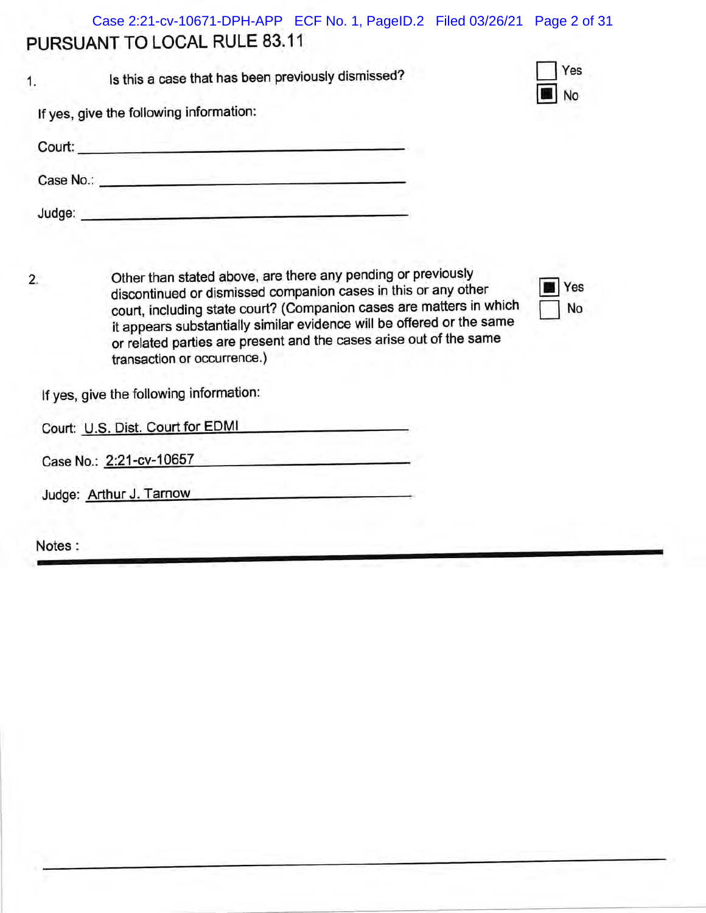PURSUANT TO LOCAL RULE 83.11 Case 2:21-cv-10671-DPH-APP ECF No. 1, PageID.2 Filed 03/26/21 Page 2 of 31

|           | Is this a case that has been previously dismissed? |  |
|-----------|----------------------------------------------------|--|
|           | If yes, give the following information:            |  |
| Court:    |                                                    |  |
| Case No.: |                                                    |  |

Judge:

2. Other than stated above, are there any pending or previously discontinued or dismissed companion cases in this or any other court, including state court? (Companion cases are matters in which it appears substantially similar evidence will be offered or the same or related parties are present and the cases arise out of the same transaction or occurrence.)

I Yes u No

Yes

No

lf yes, give the following information

| Court: U.S. Dist. Court for EDMI |  |
|----------------------------------|--|
|----------------------------------|--|

Case No.: 2:21-cv-10657

Judge: Arthur J. Tarnow

Notes: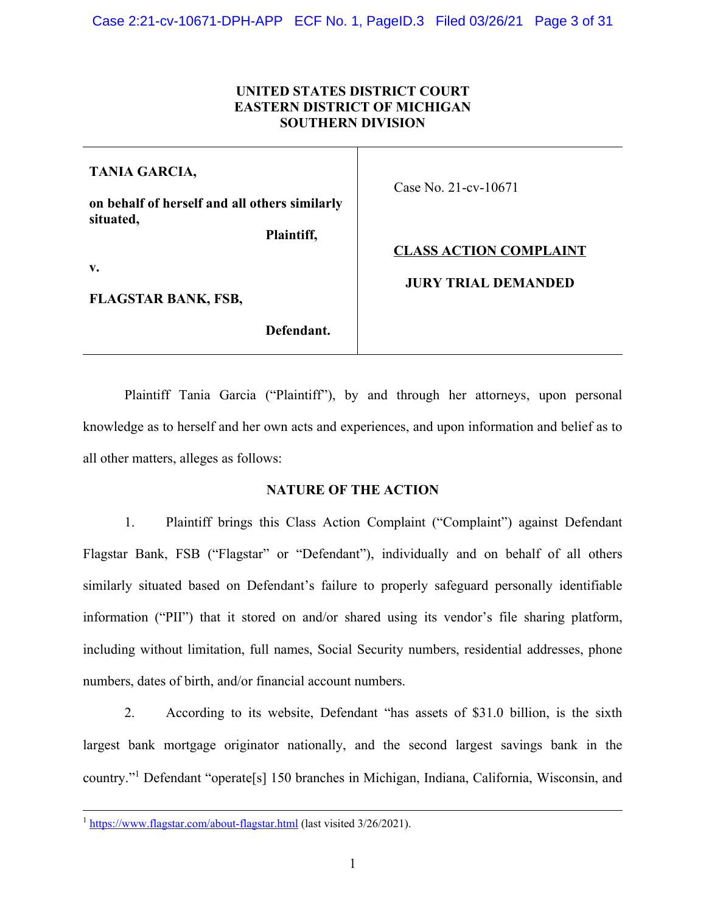# **UNITED STATES DISTRICT COURT EASTERN DISTRICT OF MICHIGAN SOUTHERN DIVISION**

**TANIA GARCIA,**

**on behalf of herself and all others similarly situated,**

**Plaintiff,**

**v.**

**FLAGSTAR BANK, FSB,**

**Defendant.**

Case No. 21-cv-10671

**CLASS ACTION COMPLAINT**

**JURY TRIAL DEMANDED**

Plaintiff Tania Garcia ("Plaintiff"), by and through her attorneys, upon personal knowledge as to herself and her own acts and experiences, and upon information and belief as to all other matters, alleges as follows:

# **NATURE OF THE ACTION**

1. Plaintiff brings this Class Action Complaint ("Complaint") against Defendant Flagstar Bank, FSB ("Flagstar" or "Defendant"), individually and on behalf of all others similarly situated based on Defendant's failure to properly safeguard personally identifiable information ("PII") that it stored on and/or shared using its vendor's file sharing platform, including without limitation, full names, Social Security numbers, residential addresses, phone numbers, dates of birth, and/or financial account numbers.

2. According to its website, Defendant "has assets of \$31.0 billion, is the sixth largest bank mortgage originator nationally, and the second largest savings bank in the country."[1](#page-2-0) Defendant "operate[s] 150 branches in Michigan, Indiana, California, Wisconsin, and

<span id="page-2-1"></span><span id="page-2-0"></span><sup>&</sup>lt;sup>1</sup> [https://www.flagstar.com/about-flagstar.html \(last visited 3/26/2021\).](#page-2-1)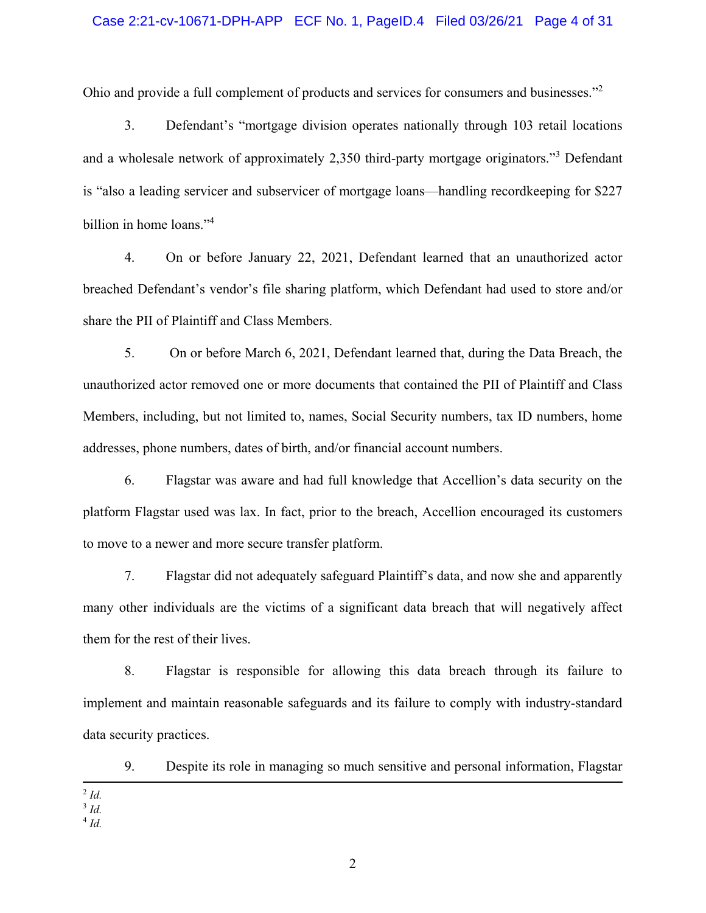### <span id="page-3-3"></span>Case 2:21-cv-10671-DPH-APP ECF No. 1, PageID.4 Filed 03/26/21 Page 4 of 31

Ohio and provide a full complement of products and services for consumers and businesses."[2](#page-3-0)

<span id="page-3-4"></span>3. Defendant's "mortgage division operates nationally through 103 retail locations and a wholesale network of approximately 2,[3](#page-3-1)50 third-party mortgage originators."<sup>3</sup> Defendant is "also a leading servicer and subservicer of mortgage loans—handling recordkeeping for \$227 billion in home loans."<sup>[4](#page-3-2)</sup>

<span id="page-3-5"></span>4. On or before January 22, 2021, Defendant learned that an unauthorized actor breached Defendant's vendor's file sharing platform, which Defendant had used to store and/or share the PII of Plaintiff and Class Members.

5. On or before March 6, 2021, Defendant learned that, during the Data Breach, the unauthorized actor removed one or more documents that contained the PII of Plaintiff and Class Members, including, but not limited to, names, Social Security numbers, tax ID numbers, home addresses, phone numbers, dates of birth, and/or financial account numbers.

6. Flagstar was aware and had full knowledge that Accellion's data security on the platform Flagstar used was lax. In fact, prior to the breach, Accellion encouraged its customers to move to a newer and more secure transfer platform.

7. Flagstar did not adequately safeguard Plaintiff's data, and now she and apparently many other individuals are the victims of a significant data breach that will negatively affect them for the rest of their lives.

8. Flagstar is responsible for allowing this data breach through its failure to implement and maintain reasonable safeguards and its failure to comply with industry-standard data security practices.

9. Despite its role in managing so much sensitive and personal information, Flagstar

- <span id="page-3-1"></span>3 *[Id.](#page-3-4)*
- <span id="page-3-2"></span>4 *[Id.](#page-3-5)*

<span id="page-3-0"></span><sup>2</sup> *[Id.](#page-3-3)*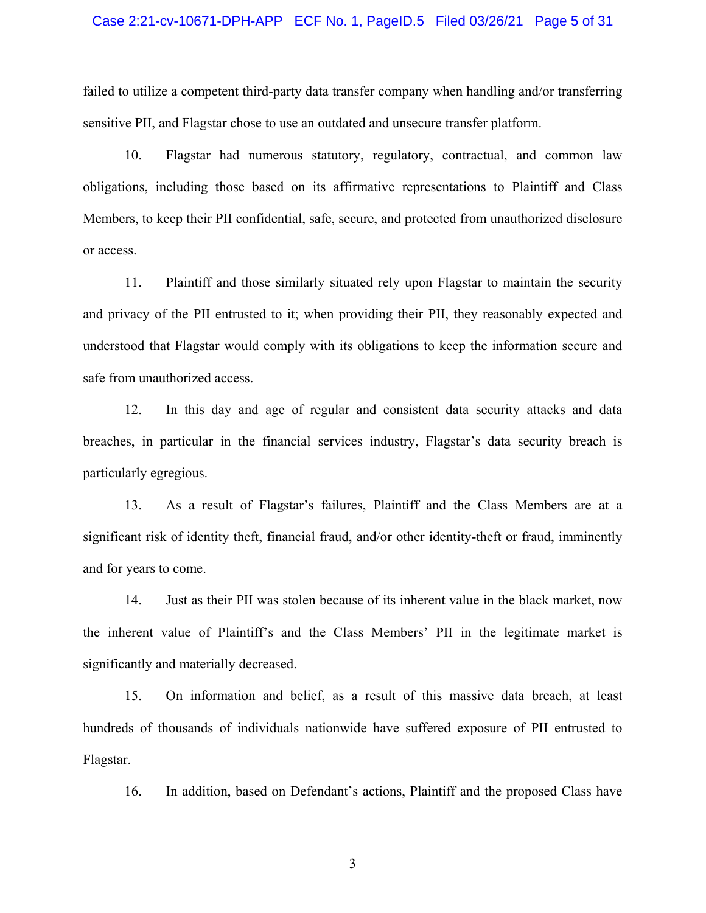#### Case 2:21-cv-10671-DPH-APP ECF No. 1, PageID.5 Filed 03/26/21 Page 5 of 31

failed to utilize a competent third-party data transfer company when handling and/or transferring sensitive PII, and Flagstar chose to use an outdated and unsecure transfer platform.

10. Flagstar had numerous statutory, regulatory, contractual, and common law obligations, including those based on its affirmative representations to Plaintiff and Class Members, to keep their PII confidential, safe, secure, and protected from unauthorized disclosure or access.

11. Plaintiff and those similarly situated rely upon Flagstar to maintain the security and privacy of the PII entrusted to it; when providing their PII, they reasonably expected and understood that Flagstar would comply with its obligations to keep the information secure and safe from unauthorized access.

12. In this day and age of regular and consistent data security attacks and data breaches, in particular in the financial services industry, Flagstar's data security breach is particularly egregious.

13. As a result of Flagstar's failures, Plaintiff and the Class Members are at a significant risk of identity theft, financial fraud, and/or other identity-theft or fraud, imminently and for years to come.

14. Just as their PII was stolen because of its inherent value in the black market, now the inherent value of Plaintiff's and the Class Members' PII in the legitimate market is significantly and materially decreased.

15. On information and belief, as a result of this massive data breach, at least hundreds of thousands of individuals nationwide have suffered exposure of PII entrusted to Flagstar.

16. In addition, based on Defendant's actions, Plaintiff and the proposed Class have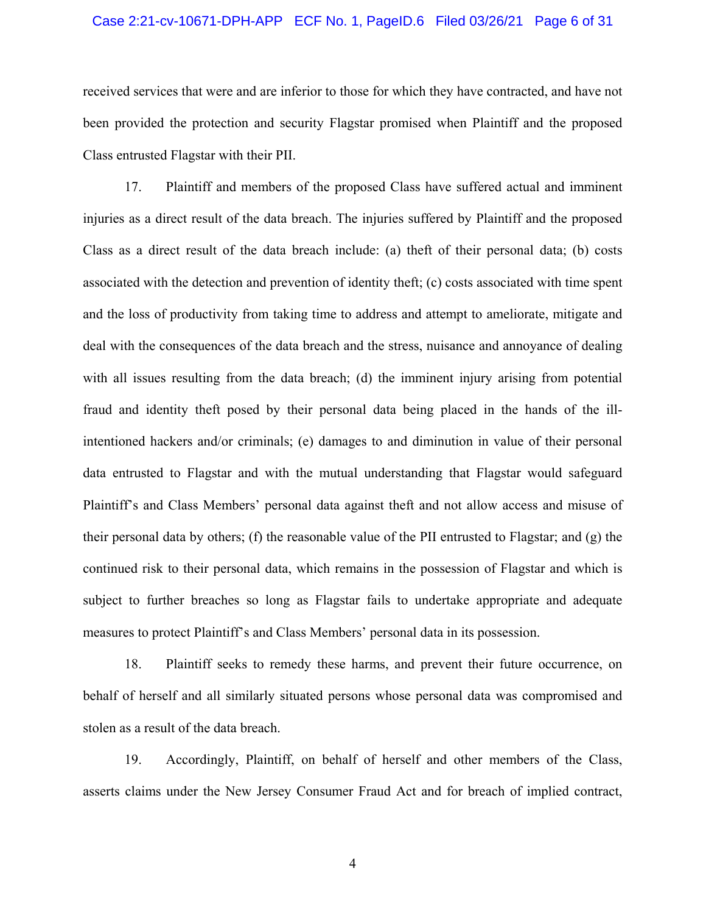#### Case 2:21-cv-10671-DPH-APP ECF No. 1, PageID.6 Filed 03/26/21 Page 6 of 31

received services that were and are inferior to those for which they have contracted, and have not been provided the protection and security Flagstar promised when Plaintiff and the proposed Class entrusted Flagstar with their PII.

17. Plaintiff and members of the proposed Class have suffered actual and imminent injuries as a direct result of the data breach. The injuries suffered by Plaintiff and the proposed Class as a direct result of the data breach include: (a) theft of their personal data; (b) costs associated with the detection and prevention of identity theft; (c) costs associated with time spent and the loss of productivity from taking time to address and attempt to ameliorate, mitigate and deal with the consequences of the data breach and the stress, nuisance and annoyance of dealing with all issues resulting from the data breach; (d) the imminent injury arising from potential fraud and identity theft posed by their personal data being placed in the hands of the illintentioned hackers and/or criminals; (e) damages to and diminution in value of their personal data entrusted to Flagstar and with the mutual understanding that Flagstar would safeguard Plaintiff's and Class Members' personal data against theft and not allow access and misuse of their personal data by others; (f) the reasonable value of the PII entrusted to Flagstar; and (g) the continued risk to their personal data, which remains in the possession of Flagstar and which is subject to further breaches so long as Flagstar fails to undertake appropriate and adequate measures to protect Plaintiff's and Class Members' personal data in its possession.

18. Plaintiff seeks to remedy these harms, and prevent their future occurrence, on behalf of herself and all similarly situated persons whose personal data was compromised and stolen as a result of the data breach.

19. Accordingly, Plaintiff, on behalf of herself and other members of the Class, asserts claims under the New Jersey Consumer Fraud Act and for breach of implied contract,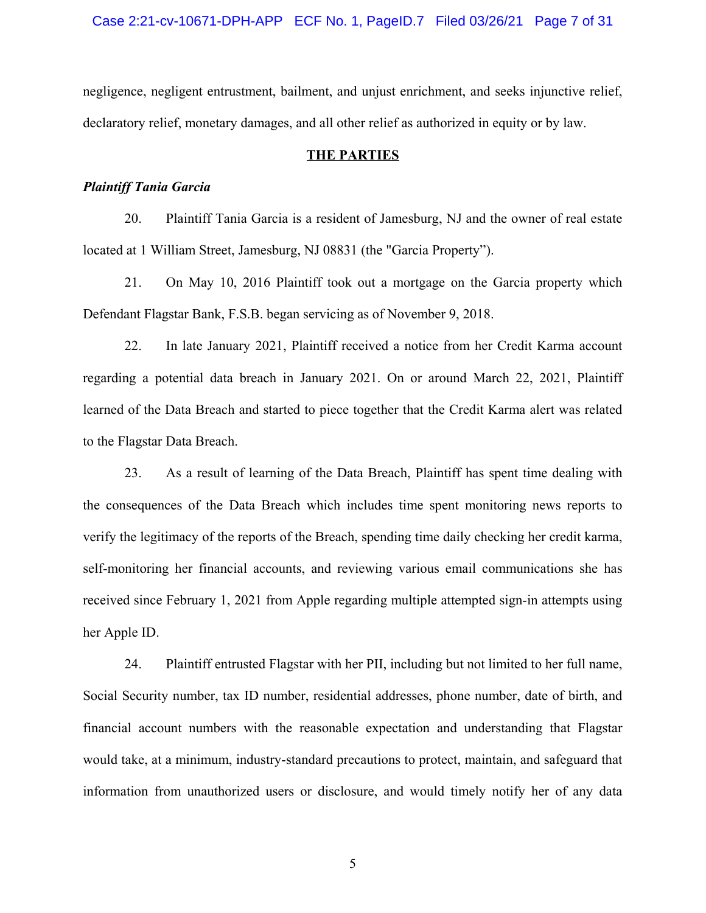Case 2:21-cv-10671-DPH-APP ECF No. 1, PageID.7 Filed 03/26/21 Page 7 of 31

negligence, negligent entrustment, bailment, and unjust enrichment, and seeks injunctive relief, declaratory relief, monetary damages, and all other relief as authorized in equity or by law.

## **THE PARTIES**

#### *Plaintiff Tania Garcia*

20. Plaintiff Tania Garcia is a resident of Jamesburg, NJ and the owner of real estate located at 1 William Street, Jamesburg, NJ 08831 (the "Garcia Property").

21. On May 10, 2016 Plaintiff took out a mortgage on the Garcia property which Defendant Flagstar Bank, F.S.B. began servicing as of November 9, 2018.

22. In late January 2021, Plaintiff received a notice from her Credit Karma account regarding a potential data breach in January 2021. On or around March 22, 2021, Plaintiff learned of the Data Breach and started to piece together that the Credit Karma alert was related to the Flagstar Data Breach.

23. As a result of learning of the Data Breach, Plaintiff has spent time dealing with the consequences of the Data Breach which includes time spent monitoring news reports to verify the legitimacy of the reports of the Breach, spending time daily checking her credit karma, self-monitoring her financial accounts, and reviewing various email communications she has received since February 1, 2021 from Apple regarding multiple attempted sign-in attempts using her Apple ID.

24. Plaintiff entrusted Flagstar with her PII, including but not limited to her full name, Social Security number, tax ID number, residential addresses, phone number, date of birth, and financial account numbers with the reasonable expectation and understanding that Flagstar would take, at a minimum, industry-standard precautions to protect, maintain, and safeguard that information from unauthorized users or disclosure, and would timely notify her of any data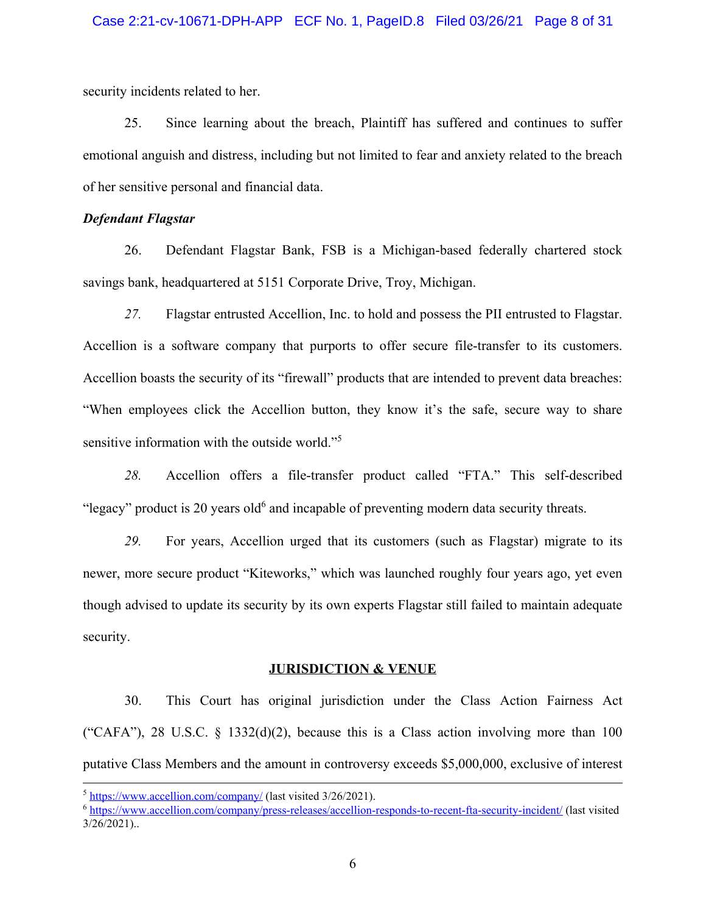security incidents related to her.

25. Since learning about the breach, Plaintiff has suffered and continues to suffer emotional anguish and distress, including but not limited to fear and anxiety related to the breach of her sensitive personal and financial data.

## *Defendant Flagstar*

26. Defendant Flagstar Bank, FSB is a Michigan-based federally chartered stock savings bank, headquartered at 5151 Corporate Drive, Troy, Michigan.

*27.* Flagstar entrusted Accellion, Inc. to hold and possess the PII entrusted to Flagstar. Accellion is a software company that purports to offer secure file-transfer to its customers. Accellion boasts the security of its "firewall" products that are intended to prevent data breaches: "When employees click the Accellion button, they know it's the safe, secure way to share sensitive information with the outside world."<sup>[5](#page-7-0)</sup>

*28.* Accellion offers a file-transfer product called "FTA." This self-described "legacy" product is 20 years old $6$  and incapable of preventing modern data security threats.

*29.* For years, Accellion urged that its customers (such as Flagstar) migrate to its newer, more secure product "Kiteworks," which was launched roughly four years ago, yet even though advised to update its security by its own experts Flagstar still failed to maintain adequate security.

#### <span id="page-7-3"></span><span id="page-7-2"></span>**JURISDICTION & VENUE**

30. This Court has original jurisdiction under the Class Action Fairness Act ("CAFA"), 28 U.S.C.  $\S$  1332(d)(2), because this is a Class action involving more than 100 putative Class Members and the amount in controversy exceeds \$5,000,000, exclusive of interest

<span id="page-7-0"></span><sup>&</sup>lt;sup>5</sup> [h](#page-7-2)[ttps://www.accellion.com/company/](https://www.accellion.com/company/) [\(last visited 3/26/2021\).](#page-7-2)

<span id="page-7-1"></span><sup>&</sup>lt;sup>6</sup> [https://www.accellion.com/company/press-releases/accellion-responds-to-recent-fta-security-incident/ \(last visited](#page-7-3) 3/26/2021)..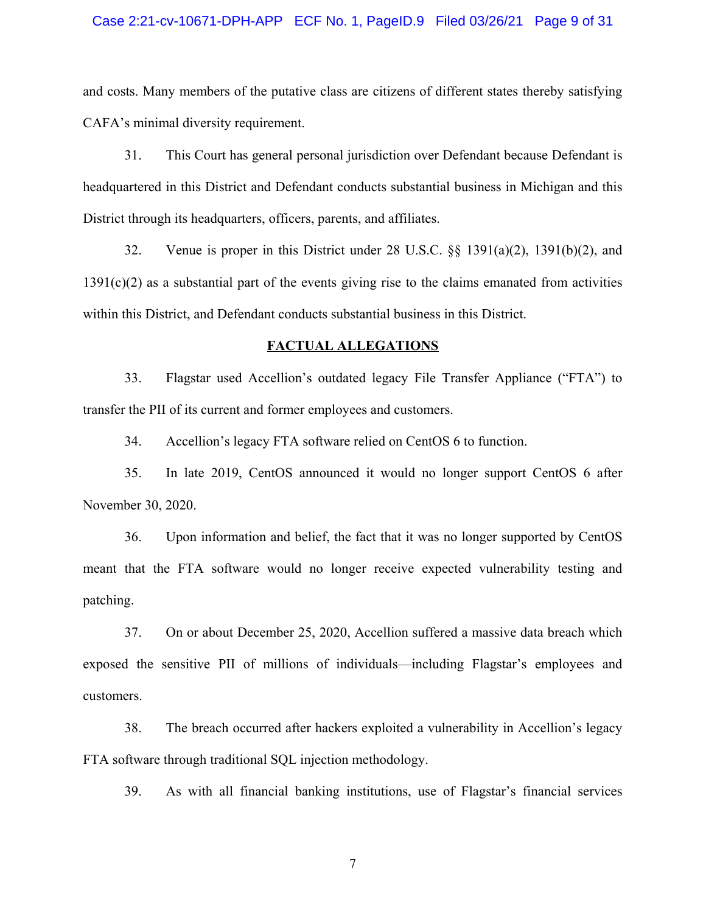#### Case 2:21-cv-10671-DPH-APP ECF No. 1, PageID.9 Filed 03/26/21 Page 9 of 31

and costs. Many members of the putative class are citizens of different states thereby satisfying CAFA's minimal diversity requirement.

31. This Court has general personal jurisdiction over Defendant because Defendant is headquartered in this District and Defendant conducts substantial business in Michigan and this District through its headquarters, officers, parents, and affiliates.

32. Venue is proper in this District under 28 U.S.C. §§ 1391(a)(2), 1391(b)(2), and 1391(c)(2) as a substantial part of the events giving rise to the claims emanated from activities within this District, and Defendant conducts substantial business in this District.

#### **FACTUAL ALLEGATIONS**

33. Flagstar used Accellion's outdated legacy File Transfer Appliance ("FTA") to transfer the PII of its current and former employees and customers.

34. Accellion's legacy FTA software relied on CentOS 6 to function.

35. In late 2019, CentOS announced it would no longer support CentOS 6 after November 30, 2020.

36. Upon information and belief, the fact that it was no longer supported by CentOS meant that the FTA software would no longer receive expected vulnerability testing and patching.

37. On or about December 25, 2020, Accellion suffered a massive data breach which exposed the sensitive PII of millions of individuals—including Flagstar's employees and customers.

38. The breach occurred after hackers exploited a vulnerability in Accellion's legacy FTA software through traditional SQL injection methodology.

39. As with all financial banking institutions, use of Flagstar's financial services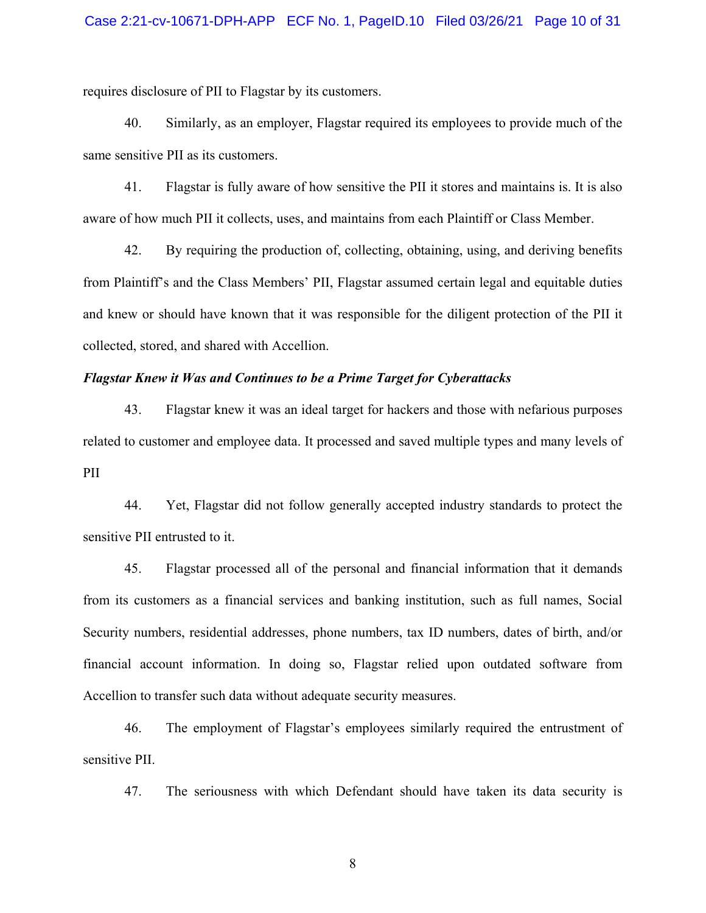requires disclosure of PII to Flagstar by its customers.

40. Similarly, as an employer, Flagstar required its employees to provide much of the same sensitive PII as its customers.

41. Flagstar is fully aware of how sensitive the PII it stores and maintains is. It is also aware of how much PII it collects, uses, and maintains from each Plaintiff or Class Member.

42. By requiring the production of, collecting, obtaining, using, and deriving benefits from Plaintiff's and the Class Members' PII, Flagstar assumed certain legal and equitable duties and knew or should have known that it was responsible for the diligent protection of the PII it collected, stored, and shared with Accellion.

## *Flagstar Knew it Was and Continues to be a Prime Target for Cyberattacks*

43. Flagstar knew it was an ideal target for hackers and those with nefarious purposes related to customer and employee data. It processed and saved multiple types and many levels of PII

44. Yet, Flagstar did not follow generally accepted industry standards to protect the sensitive PII entrusted to it.

45. Flagstar processed all of the personal and financial information that it demands from its customers as a financial services and banking institution, such as full names, Social Security numbers, residential addresses, phone numbers, tax ID numbers, dates of birth, and/or financial account information. In doing so, Flagstar relied upon outdated software from Accellion to transfer such data without adequate security measures.

46. The employment of Flagstar's employees similarly required the entrustment of sensitive PII.

47. The seriousness with which Defendant should have taken its data security is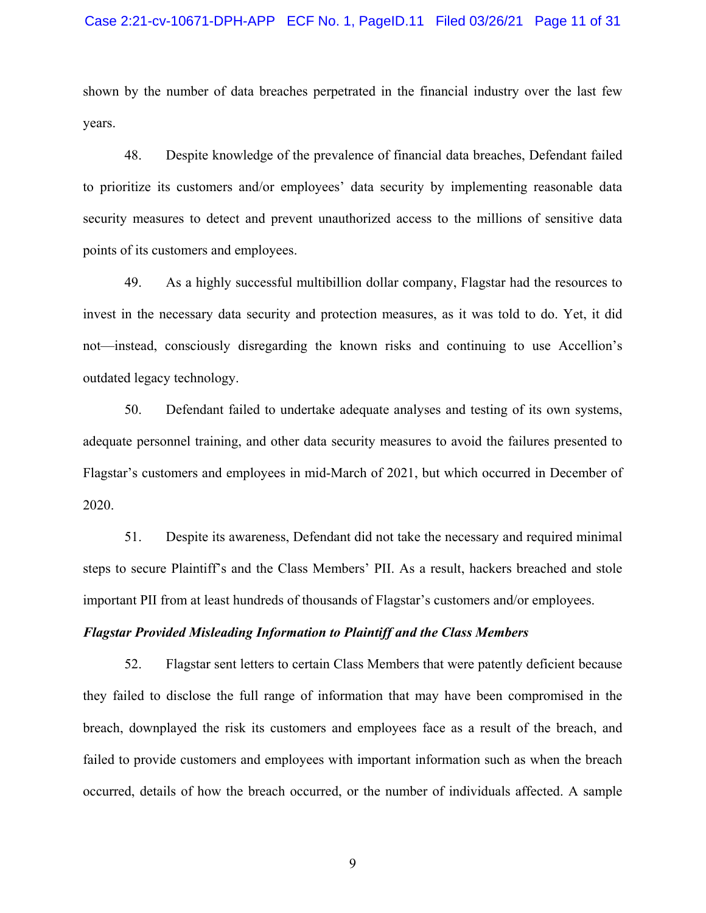#### Case 2:21-cv-10671-DPH-APP ECF No. 1, PageID.11 Filed 03/26/21 Page 11 of 31

shown by the number of data breaches perpetrated in the financial industry over the last few years.

48. Despite knowledge of the prevalence of financial data breaches, Defendant failed to prioritize its customers and/or employees' data security by implementing reasonable data security measures to detect and prevent unauthorized access to the millions of sensitive data points of its customers and employees.

49. As a highly successful multibillion dollar company, Flagstar had the resources to invest in the necessary data security and protection measures, as it was told to do. Yet, it did not—instead, consciously disregarding the known risks and continuing to use Accellion's outdated legacy technology.

50. Defendant failed to undertake adequate analyses and testing of its own systems, adequate personnel training, and other data security measures to avoid the failures presented to Flagstar's customers and employees in mid-March of 2021, but which occurred in December of 2020.

51. Despite its awareness, Defendant did not take the necessary and required minimal steps to secure Plaintiff's and the Class Members' PII. As a result, hackers breached and stole important PII from at least hundreds of thousands of Flagstar's customers and/or employees.

#### *Flagstar Provided Misleading Information to Plaintiff and the Class Members*

52. Flagstar sent letters to certain Class Members that were patently deficient because they failed to disclose the full range of information that may have been compromised in the breach, downplayed the risk its customers and employees face as a result of the breach, and failed to provide customers and employees with important information such as when the breach occurred, details of how the breach occurred, or the number of individuals affected. A sample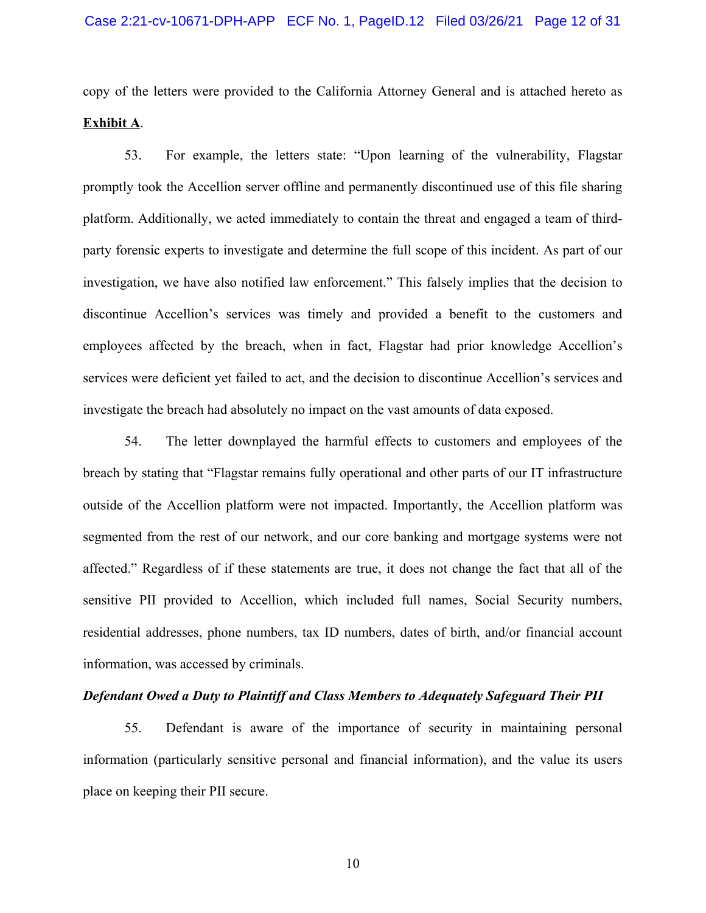copy of the letters were provided to the California Attorney General and is attached hereto as **Exhibit A**.

53. For example, the letters state: "Upon learning of the vulnerability, Flagstar promptly took the Accellion server offline and permanently discontinued use of this file sharing platform. Additionally, we acted immediately to contain the threat and engaged a team of thirdparty forensic experts to investigate and determine the full scope of this incident. As part of our investigation, we have also notified law enforcement." This falsely implies that the decision to discontinue Accellion's services was timely and provided a benefit to the customers and employees affected by the breach, when in fact, Flagstar had prior knowledge Accellion's services were deficient yet failed to act, and the decision to discontinue Accellion's services and investigate the breach had absolutely no impact on the vast amounts of data exposed.

54. The letter downplayed the harmful effects to customers and employees of the breach by stating that "Flagstar remains fully operational and other parts of our IT infrastructure outside of the Accellion platform were not impacted. Importantly, the Accellion platform was segmented from the rest of our network, and our core banking and mortgage systems were not affected." Regardless of if these statements are true, it does not change the fact that all of the sensitive PII provided to Accellion, which included full names, Social Security numbers, residential addresses, phone numbers, tax ID numbers, dates of birth, and/or financial account information, was accessed by criminals.

## *Defendant Owed a Duty to Plaintiff and Class Members to Adequately Safeguard Their PII*

55. Defendant is aware of the importance of security in maintaining personal information (particularly sensitive personal and financial information), and the value its users place on keeping their PII secure.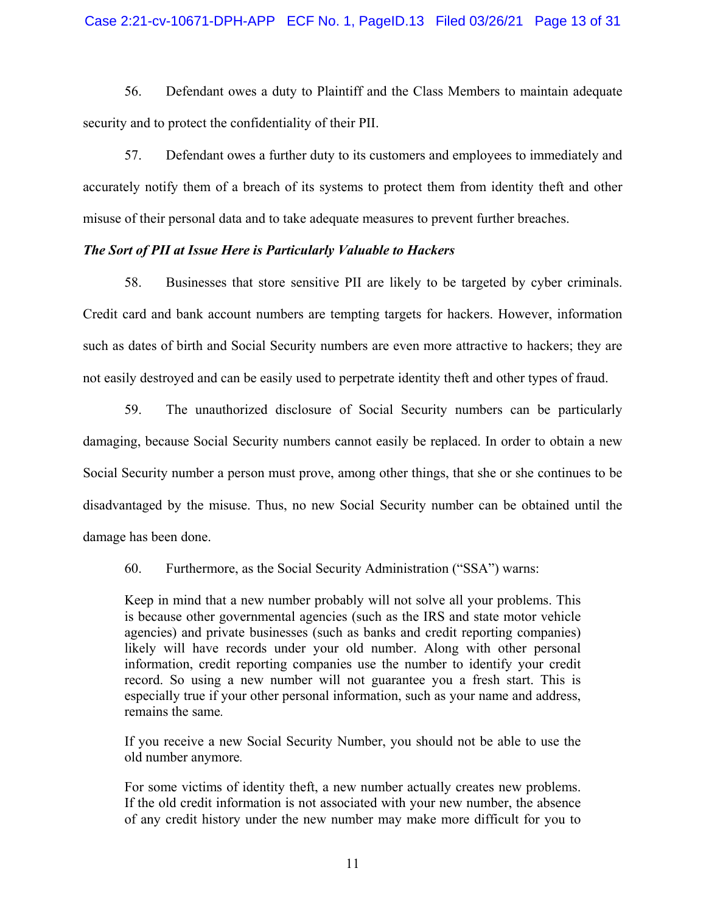## Case 2:21-cv-10671-DPH-APP ECF No. 1, PageID.13 Filed 03/26/21 Page 13 of 31

56. Defendant owes a duty to Plaintiff and the Class Members to maintain adequate security and to protect the confidentiality of their PII.

57. Defendant owes a further duty to its customers and employees to immediately and accurately notify them of a breach of its systems to protect them from identity theft and other misuse of their personal data and to take adequate measures to prevent further breaches.

## *The Sort of PII at Issue Here is Particularly Valuable to Hackers*

58. Businesses that store sensitive PII are likely to be targeted by cyber criminals. Credit card and bank account numbers are tempting targets for hackers. However, information such as dates of birth and Social Security numbers are even more attractive to hackers; they are not easily destroyed and can be easily used to perpetrate identity theft and other types of fraud.

59. The unauthorized disclosure of Social Security numbers can be particularly damaging, because Social Security numbers cannot easily be replaced. In order to obtain a new Social Security number a person must prove, among other things, that she or she continues to be disadvantaged by the misuse. Thus, no new Social Security number can be obtained until the damage has been done.

60. Furthermore, as the Social Security Administration ("SSA") warns:

Keep in mind that a new number probably will not solve all your problems. This is because other governmental agencies (such as the IRS and state motor vehicle agencies) and private businesses (such as banks and credit reporting companies) likely will have records under your old number. Along with other personal information, credit reporting companies use the number to identify your credit record. So using a new number will not guarantee you a fresh start. This is especially true if your other personal information, such as your name and address, remains the same*.*

If you receive a new Social Security Number, you should not be able to use the old number anymore*.*

For some victims of identity theft, a new number actually creates new problems. If the old credit information is not associated with your new number, the absence of any credit history under the new number may make more difficult for you to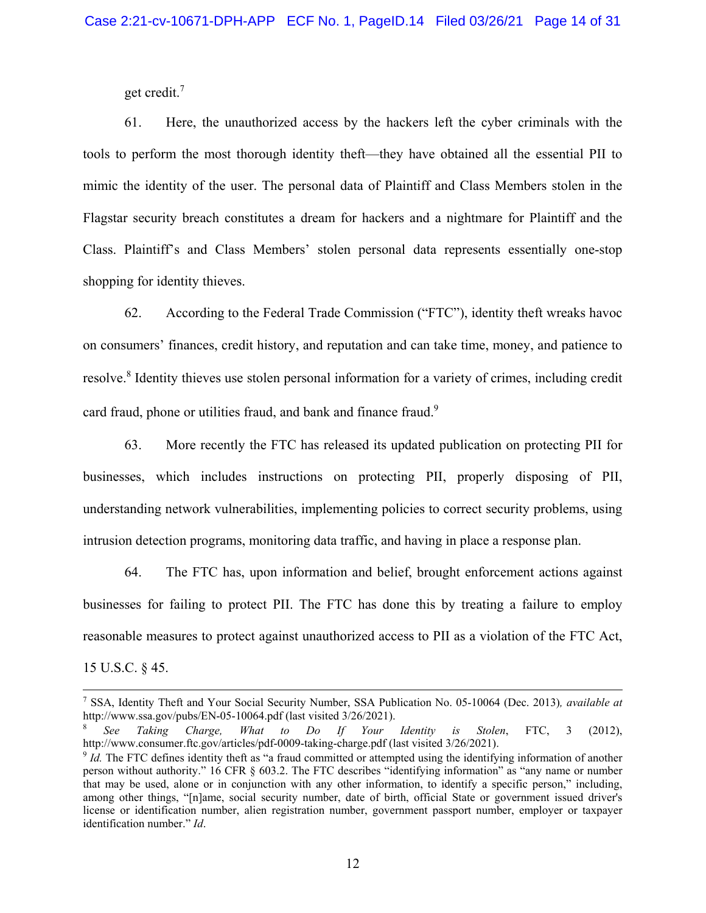<span id="page-13-3"></span>get credit.[7](#page-13-0)

61. Here, the unauthorized access by the hackers left the cyber criminals with the tools to perform the most thorough identity theft—they have obtained all the essential PII to mimic the identity of the user. The personal data of Plaintiff and Class Members stolen in the Flagstar security breach constitutes a dream for hackers and a nightmare for Plaintiff and the Class. Plaintiff's and Class Members' stolen personal data represents essentially one-stop shopping for identity thieves.

<span id="page-13-4"></span>62. According to the Federal Trade Commission ("FTC"), identity theft wreaks havoc on consumers' finances, credit history, and reputation and can take time, money, and patience to resolve.<sup>[8](#page-13-1)</sup> Identity thieves use stolen personal information for a variety of crimes, including credit card fraud, phone or utilities fraud, and bank and finance fraud.<sup>[9](#page-13-2)</sup>

<span id="page-13-5"></span>63. More recently the FTC has released its updated publication on protecting PII for businesses, which includes instructions on protecting PII, properly disposing of PII, understanding network vulnerabilities, implementing policies to correct security problems, using intrusion detection programs, monitoring data traffic, and having in place a response plan.

64. The FTC has, upon information and belief, brought enforcement actions against businesses for failing to protect PII. The FTC has done this by treating a failure to employ reasonable measures to protect against unauthorized access to PII as a violation of the FTC Act, 15 U.S.C. § 45.

<span id="page-13-0"></span><sup>7</sup>  [SSA, Identity Theft and Your Social Security Number, SSA Publication No. 05-10064 \(Dec. 2013\)](#page-13-3)*, available at* http://www.ssa.gov/pubs/EN-05-10064.pdf (last visited 3/26/2021).

<span id="page-13-1"></span><sup>8</sup> *[See Taking Charge, What to Do If Your Identity is Stolen](#page-13-4)*, FTC, 3 (2012), http://www.consumer.ftc.gov/articles/pdf-0009-taking-charge.pdf (last visited 3/26/2021).

<span id="page-13-2"></span><sup>&</sup>lt;sup>9</sup> Id. The FTC defines identity theft as "a fraud committed or attempted using the identifying information of another person without authority." 16 CFR § 603.2. The FTC describes "identifying information" as "any name or number [that may be used, alone or in conjunction with any other information, to identify a specific person," including,](#page-13-5) among other things, "[n]ame, social security number, date of birth, official State or government issued driver's license or identification number, alien registration number, government passport number, employer or taxpayer identification number." *Id*.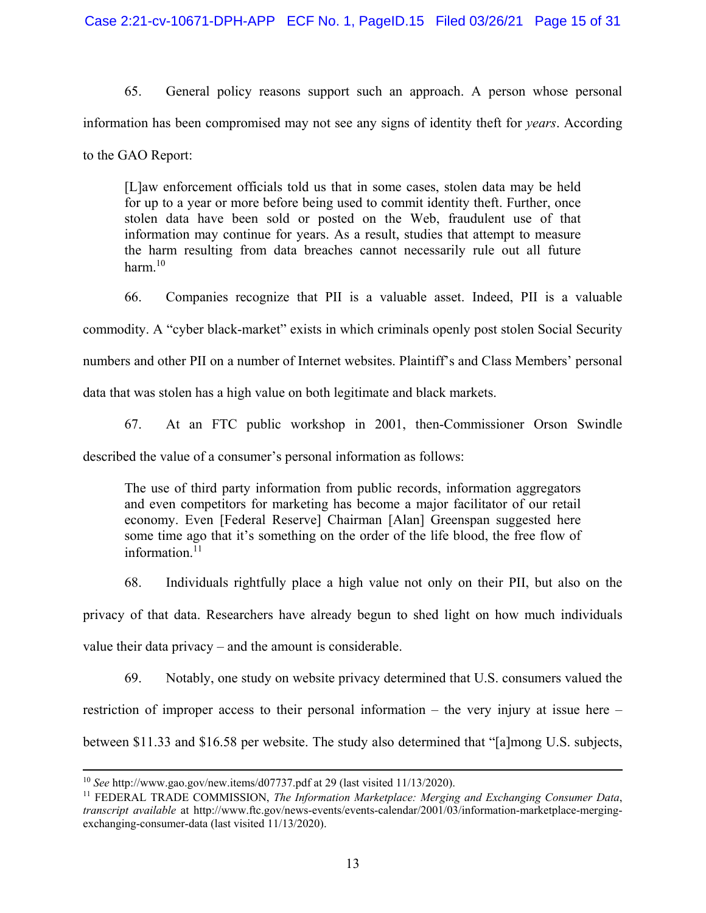65. General policy reasons support such an approach. A person whose personal information has been compromised may not see any signs of identity theft for *years*. According to the GAO Report:

[L]aw enforcement officials told us that in some cases, stolen data may be held for up to a year or more before being used to commit identity theft. Further, once stolen data have been sold or posted on the Web, fraudulent use of that information may continue for years. As a result, studies that attempt to measure the harm resulting from data breaches cannot necessarily rule out all future harm. $10$ 

<span id="page-14-2"></span>66. Companies recognize that PII is a valuable asset. Indeed, PII is a valuable

commodity. A "cyber black-market" exists in which criminals openly post stolen Social Security

numbers and other PII on a number of Internet websites. Plaintiff's and Class Members' personal

data that was stolen has a high value on both legitimate and black markets.

67. At an FTC public workshop in 2001, then-Commissioner Orson Swindle

described the value of a consumer's personal information as follows:

<span id="page-14-3"></span>The use of third party information from public records, information aggregators and even competitors for marketing has become a major facilitator of our retail economy. Even [Federal Reserve] Chairman [Alan] Greenspan suggested here some time ago that it's something on the order of the life blood, the free flow of information.<sup>[11](#page-14-1)</sup>

68. Individuals rightfully place a high value not only on their PII, but also on the privacy of that data. Researchers have already begun to shed light on how much individuals value their data privacy – and the amount is considerable.

69. Notably, one study on website privacy determined that U.S. consumers valued the restriction of improper access to their personal information – the very injury at issue here – between \$11.33 and \$16.58 per website. The study also determined that "[a]mong U.S. subjects,

<span id="page-14-0"></span><sup>10</sup> *See* [http://www.gao.gov/new.items/d07737.pdf at 29 \(last visited 11/13/2020\).](#page-14-2)

<span id="page-14-1"></span><sup>11</sup> FEDERAL TRADE COMMISSION, *The Information Marketplace: Merging and Exchanging Consumer Data*, *transcript available* [at http://www.ftc.gov/news-events/events-calendar/2001/03/information-marketplace-merging](#page-14-3)exchanging-consumer-data (last visited 11/13/2020).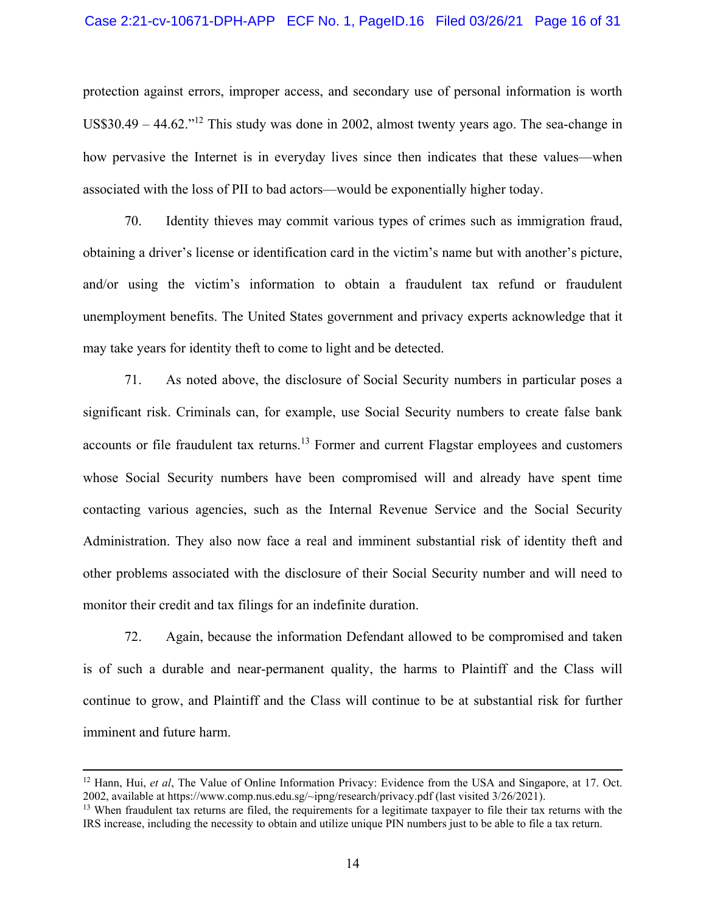#### Case 2:21-cv-10671-DPH-APP ECF No. 1, PageID.16 Filed 03/26/21 Page 16 of 31

<span id="page-15-2"></span>protection against errors, improper access, and secondary use of personal information is worth US\$30.49 – 44.62."<sup>[12](#page-15-0)</sup> This study was done in 2002, almost twenty years ago. The sea-change in how pervasive the Internet is in everyday lives since then indicates that these values—when associated with the loss of PII to bad actors—would be exponentially higher today.

70. Identity thieves may commit various types of crimes such as immigration fraud, obtaining a driver's license or identification card in the victim's name but with another's picture, and/or using the victim's information to obtain a fraudulent tax refund or fraudulent unemployment benefits. The United States government and privacy experts acknowledge that it may take years for identity theft to come to light and be detected.

<span id="page-15-3"></span>71. As noted above, the disclosure of Social Security numbers in particular poses a significant risk. Criminals can, for example, use Social Security numbers to create false bank accounts or file fraudulent tax returns.<sup>[13](#page-15-1)</sup> Former and current Flagstar employees and customers whose Social Security numbers have been compromised will and already have spent time contacting various agencies, such as the Internal Revenue Service and the Social Security Administration. They also now face a real and imminent substantial risk of identity theft and other problems associated with the disclosure of their Social Security number and will need to monitor their credit and tax filings for an indefinite duration.

72. Again, because the information Defendant allowed to be compromised and taken is of such a durable and near-permanent quality, the harms to Plaintiff and the Class will continue to grow, and Plaintiff and the Class will continue to be at substantial risk for further imminent and future harm.

<span id="page-15-0"></span><sup>&</sup>lt;sup>12</sup> Hann, Hui, *et al*[, The Value of Online Information Privacy: Evidence from the USA and Singapore, at 17. Oct.](#page-15-2) 2002, available at https://www.comp.nus.edu.sg/~ipng/research/privacy.pdf (last visited 3/26/2021).

<span id="page-15-1"></span> $<sup>13</sup>$  [When fraudulent tax returns are filed, the requirements for a legitimate taxpayer to file their tax returns with the](#page-15-3)</sup> IRS increase, including the necessity to obtain and utilize unique PIN numbers just to be able to file a tax return.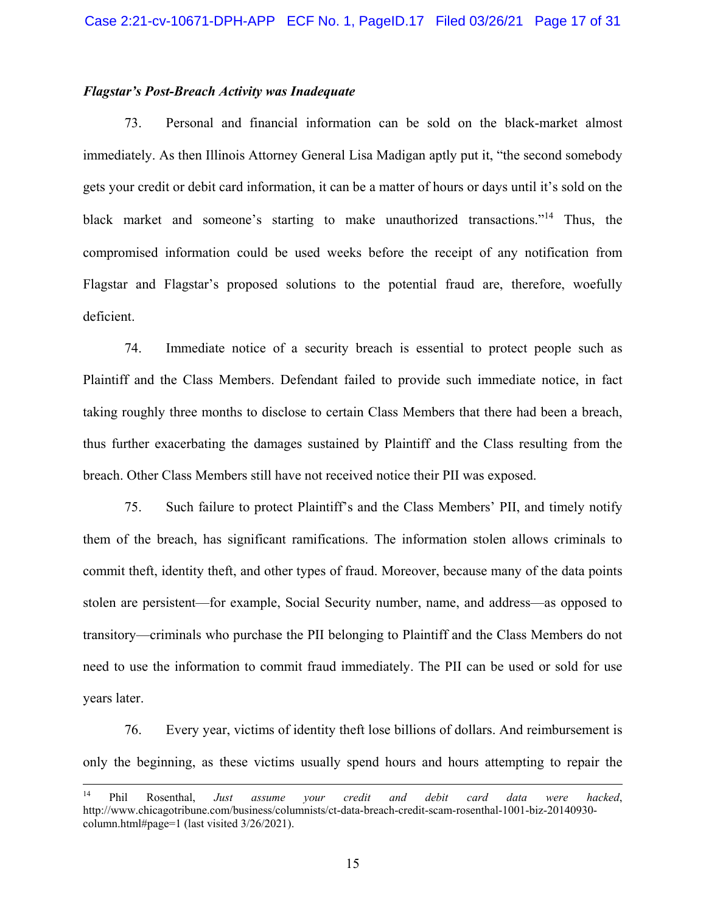## *Flagstar's Post-Breach Activity was Inadequate*

<span id="page-16-1"></span>73. Personal and financial information can be sold on the black-market almost immediately. As then Illinois Attorney General Lisa Madigan aptly put it, "the second somebody gets your credit or debit card information, it can be a matter of hours or days until it's sold on the black market and someone's starting to make unauthorized transactions."[14](#page-16-0) Thus, the compromised information could be used weeks before the receipt of any notification from Flagstar and Flagstar's proposed solutions to the potential fraud are, therefore, woefully deficient.

74. Immediate notice of a security breach is essential to protect people such as Plaintiff and the Class Members. Defendant failed to provide such immediate notice, in fact taking roughly three months to disclose to certain Class Members that there had been a breach, thus further exacerbating the damages sustained by Plaintiff and the Class resulting from the breach. Other Class Members still have not received notice their PII was exposed.

75. Such failure to protect Plaintiff's and the Class Members' PII, and timely notify them of the breach, has significant ramifications. The information stolen allows criminals to commit theft, identity theft, and other types of fraud. Moreover, because many of the data points stolen are persistent—for example, Social Security number, name, and address—as opposed to transitory—criminals who purchase the PII belonging to Plaintiff and the Class Members do not need to use the information to commit fraud immediately. The PII can be used or sold for use years later.

76. Every year, victims of identity theft lose billions of dollars. And reimbursement is only the beginning, as these victims usually spend hours and hours attempting to repair the

<span id="page-16-0"></span><sup>14</sup> Phil Rosenthal, *Just assume your credit and debit card data were hacked*, [http://www.chicagotribune.com/business/columnists/ct-data-breach-credit-scam-rosenthal-1001-biz-20140930](#page-16-1) column.html#page=1 (last visited 3/26/2021).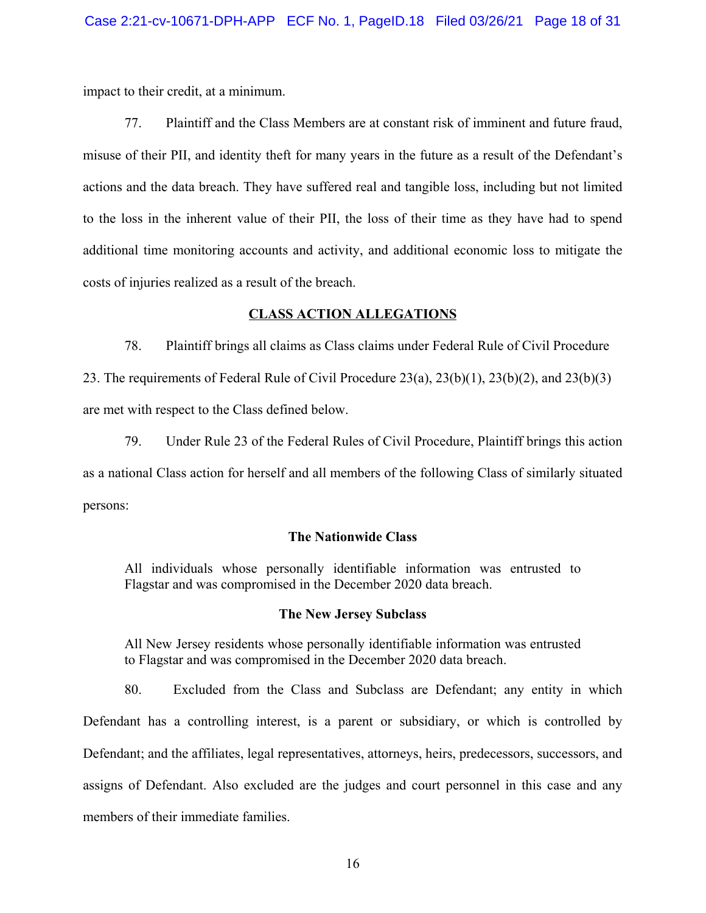impact to their credit, at a minimum.

77. Plaintiff and the Class Members are at constant risk of imminent and future fraud, misuse of their PII, and identity theft for many years in the future as a result of the Defendant's actions and the data breach. They have suffered real and tangible loss, including but not limited to the loss in the inherent value of their PII, the loss of their time as they have had to spend additional time monitoring accounts and activity, and additional economic loss to mitigate the costs of injuries realized as a result of the breach.

## **CLASS ACTION ALLEGATIONS**

78. Plaintiff brings all claims as Class claims under Federal Rule of Civil Procedure 23. The requirements of Federal Rule of Civil Procedure 23(a), 23(b)(1), 23(b)(2), and 23(b)(3) are met with respect to the Class defined below.

79. Under Rule 23 of the Federal Rules of Civil Procedure, Plaintiff brings this action as a national Class action for herself and all members of the following Class of similarly situated persons:

## **The Nationwide Class**

All individuals whose personally identifiable information was entrusted to Flagstar and was compromised in the December 2020 data breach.

## **The New Jersey Subclass**

All New Jersey residents whose personally identifiable information was entrusted to Flagstar and was compromised in the December 2020 data breach.

80. Excluded from the Class and Subclass are Defendant; any entity in which Defendant has a controlling interest, is a parent or subsidiary, or which is controlled by Defendant; and the affiliates, legal representatives, attorneys, heirs, predecessors, successors, and assigns of Defendant. Also excluded are the judges and court personnel in this case and any members of their immediate families.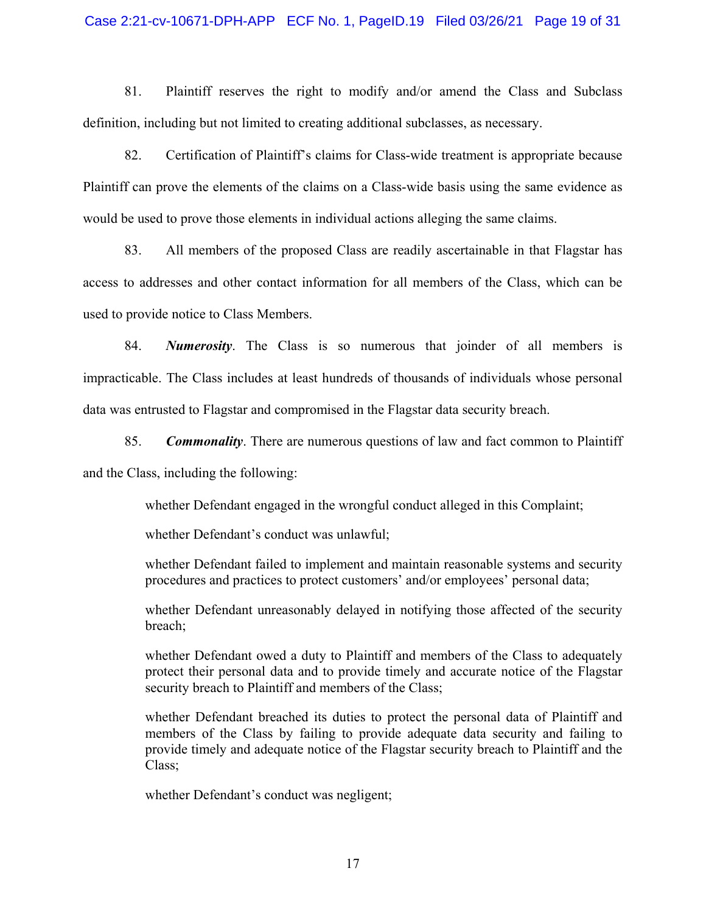#### Case 2:21-cv-10671-DPH-APP ECF No. 1, PageID.19 Filed 03/26/21 Page 19 of 31

81. Plaintiff reserves the right to modify and/or amend the Class and Subclass definition, including but not limited to creating additional subclasses, as necessary.

82. Certification of Plaintiff's claims for Class-wide treatment is appropriate because Plaintiff can prove the elements of the claims on a Class-wide basis using the same evidence as would be used to prove those elements in individual actions alleging the same claims.

83. All members of the proposed Class are readily ascertainable in that Flagstar has access to addresses and other contact information for all members of the Class, which can be used to provide notice to Class Members.

84. *Numerosity*. The Class is so numerous that joinder of all members is impracticable. The Class includes at least hundreds of thousands of individuals whose personal data was entrusted to Flagstar and compromised in the Flagstar data security breach.

85. *Commonality*. There are numerous questions of law and fact common to Plaintiff and the Class, including the following:

whether Defendant engaged in the wrongful conduct alleged in this Complaint;

whether Defendant's conduct was unlawful;

whether Defendant failed to implement and maintain reasonable systems and security procedures and practices to protect customers' and/or employees' personal data;

whether Defendant unreasonably delayed in notifying those affected of the security breach;

whether Defendant owed a duty to Plaintiff and members of the Class to adequately protect their personal data and to provide timely and accurate notice of the Flagstar security breach to Plaintiff and members of the Class;

whether Defendant breached its duties to protect the personal data of Plaintiff and members of the Class by failing to provide adequate data security and failing to provide timely and adequate notice of the Flagstar security breach to Plaintiff and the Class;

whether Defendant's conduct was negligent;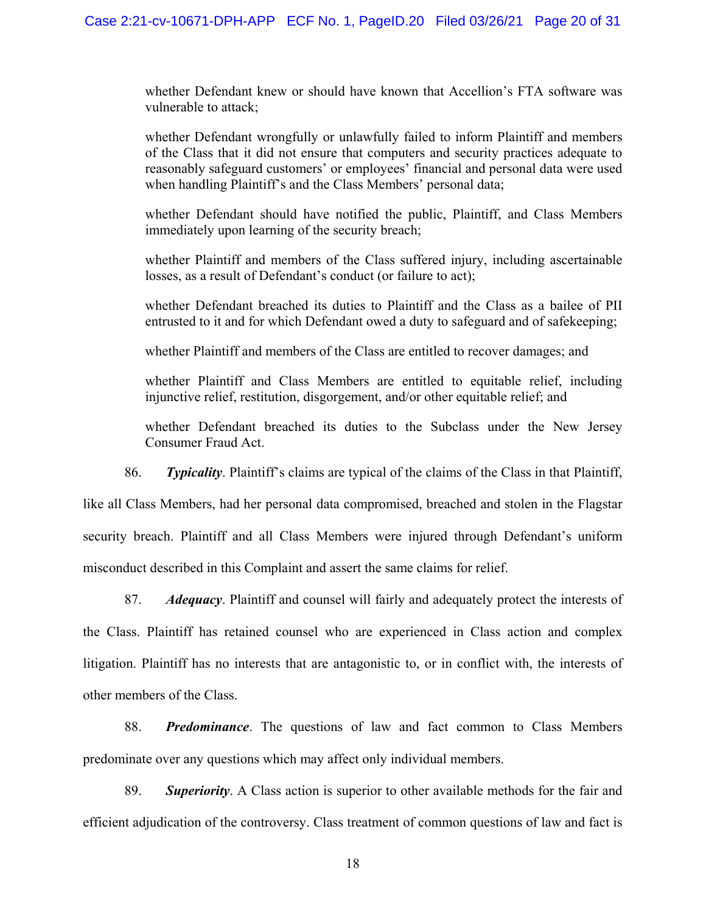whether Defendant knew or should have known that Accellion's FTA software was vulnerable to attack;

whether Defendant wrongfully or unlawfully failed to inform Plaintiff and members of the Class that it did not ensure that computers and security practices adequate to reasonably safeguard customers' or employees' financial and personal data were used when handling Plaintiff's and the Class Members' personal data;

whether Defendant should have notified the public, Plaintiff, and Class Members immediately upon learning of the security breach;

whether Plaintiff and members of the Class suffered injury, including ascertainable losses, as a result of Defendant's conduct (or failure to act);

whether Defendant breached its duties to Plaintiff and the Class as a bailee of PII entrusted to it and for which Defendant owed a duty to safeguard and of safekeeping;

whether Plaintiff and members of the Class are entitled to recover damages; and

whether Plaintiff and Class Members are entitled to equitable relief, including injunctive relief, restitution, disgorgement, and/or other equitable relief; and

whether Defendant breached its duties to the Subclass under the New Jersey Consumer Fraud Act.

86. *Typicality*. Plaintiff's claims are typical of the claims of the Class in that Plaintiff,

like all Class Members, had her personal data compromised, breached and stolen in the Flagstar security breach. Plaintiff and all Class Members were injured through Defendant's uniform misconduct described in this Complaint and assert the same claims for relief.

87. *Adequacy*. Plaintiff and counsel will fairly and adequately protect the interests of the Class. Plaintiff has retained counsel who are experienced in Class action and complex litigation. Plaintiff has no interests that are antagonistic to, or in conflict with, the interests of other members of the Class.

88. *Predominance*. The questions of law and fact common to Class Members predominate over any questions which may affect only individual members.

89. *Superiority*. A Class action is superior to other available methods for the fair and efficient adjudication of the controversy. Class treatment of common questions of law and fact is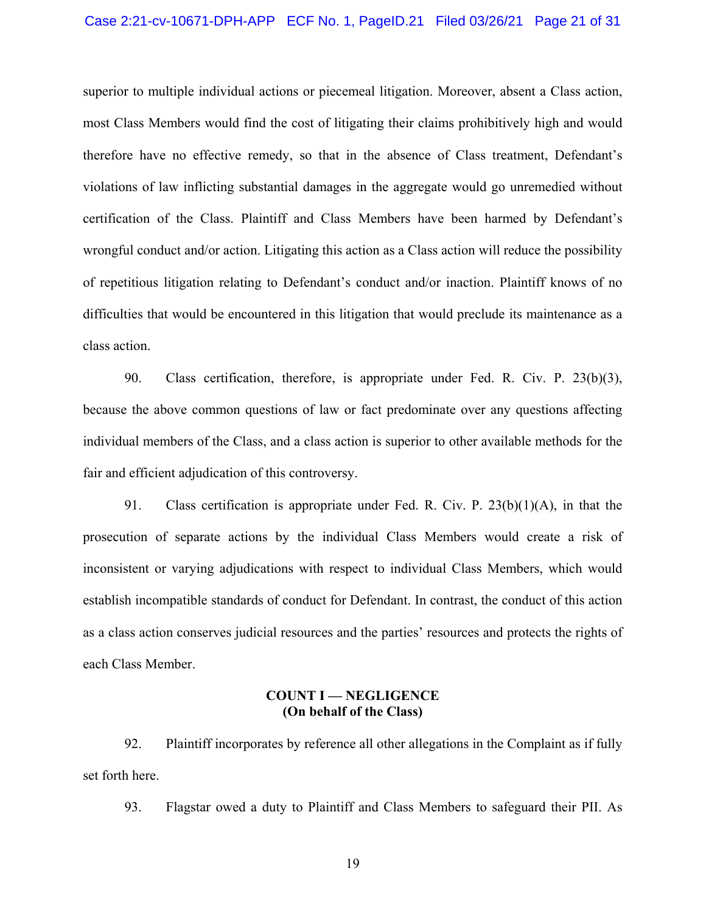#### Case 2:21-cv-10671-DPH-APP ECF No. 1, PageID.21 Filed 03/26/21 Page 21 of 31

superior to multiple individual actions or piecemeal litigation. Moreover, absent a Class action, most Class Members would find the cost of litigating their claims prohibitively high and would therefore have no effective remedy, so that in the absence of Class treatment, Defendant's violations of law inflicting substantial damages in the aggregate would go unremedied without certification of the Class. Plaintiff and Class Members have been harmed by Defendant's wrongful conduct and/or action. Litigating this action as a Class action will reduce the possibility of repetitious litigation relating to Defendant's conduct and/or inaction. Plaintiff knows of no difficulties that would be encountered in this litigation that would preclude its maintenance as a class action.

90. Class certification, therefore, is appropriate under Fed. R. Civ. P. 23(b)(3), because the above common questions of law or fact predominate over any questions affecting individual members of the Class, and a class action is superior to other available methods for the fair and efficient adjudication of this controversy.

91. Class certification is appropriate under Fed. R. Civ. P. 23(b)(1)(A), in that the prosecution of separate actions by the individual Class Members would create a risk of inconsistent or varying adjudications with respect to individual Class Members, which would establish incompatible standards of conduct for Defendant. In contrast, the conduct of this action as a class action conserves judicial resources and the parties' resources and protects the rights of each Class Member.

# **COUNT I — NEGLIGENCE (On behalf of the Class)**

92. Plaintiff incorporates by reference all other allegations in the Complaint as if fully set forth here.

93. Flagstar owed a duty to Plaintiff and Class Members to safeguard their PII. As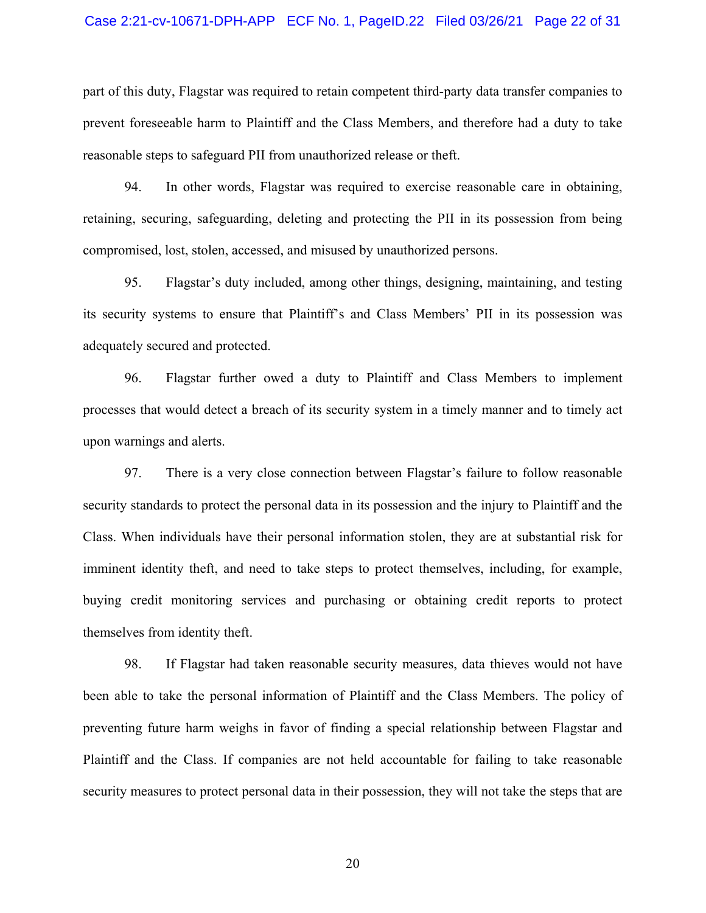#### Case 2:21-cv-10671-DPH-APP ECF No. 1, PageID.22 Filed 03/26/21 Page 22 of 31

part of this duty, Flagstar was required to retain competent third-party data transfer companies to prevent foreseeable harm to Plaintiff and the Class Members, and therefore had a duty to take reasonable steps to safeguard PII from unauthorized release or theft.

94. In other words, Flagstar was required to exercise reasonable care in obtaining, retaining, securing, safeguarding, deleting and protecting the PII in its possession from being compromised, lost, stolen, accessed, and misused by unauthorized persons.

95. Flagstar's duty included, among other things, designing, maintaining, and testing its security systems to ensure that Plaintiff's and Class Members' PII in its possession was adequately secured and protected.

96. Flagstar further owed a duty to Plaintiff and Class Members to implement processes that would detect a breach of its security system in a timely manner and to timely act upon warnings and alerts.

97. There is a very close connection between Flagstar's failure to follow reasonable security standards to protect the personal data in its possession and the injury to Plaintiff and the Class. When individuals have their personal information stolen, they are at substantial risk for imminent identity theft, and need to take steps to protect themselves, including, for example, buying credit monitoring services and purchasing or obtaining credit reports to protect themselves from identity theft.

98. If Flagstar had taken reasonable security measures, data thieves would not have been able to take the personal information of Plaintiff and the Class Members. The policy of preventing future harm weighs in favor of finding a special relationship between Flagstar and Plaintiff and the Class. If companies are not held accountable for failing to take reasonable security measures to protect personal data in their possession, they will not take the steps that are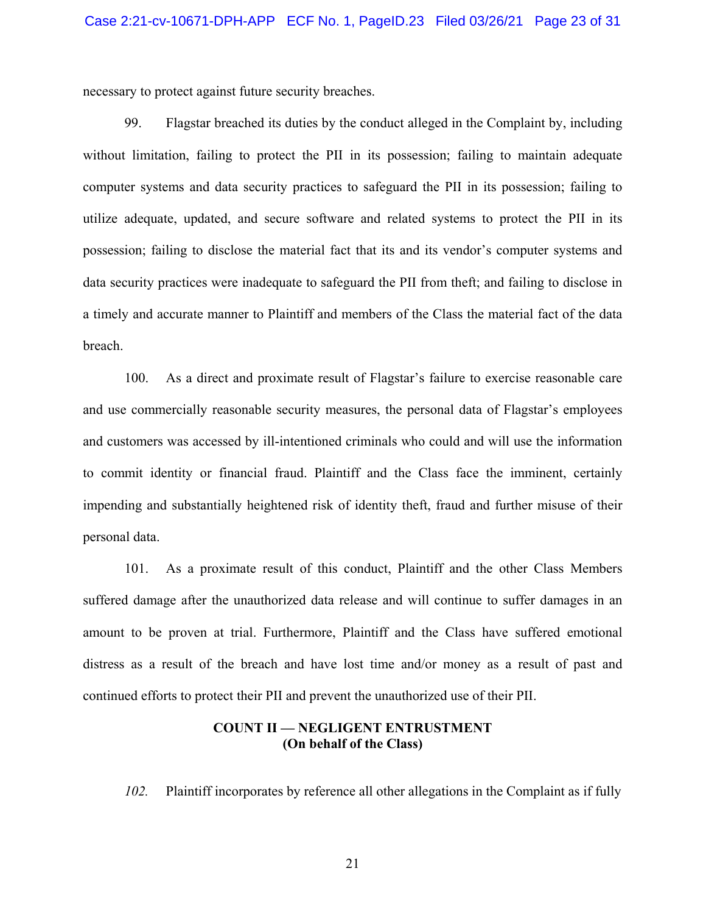necessary to protect against future security breaches.

99. Flagstar breached its duties by the conduct alleged in the Complaint by, including without limitation, failing to protect the PII in its possession; failing to maintain adequate computer systems and data security practices to safeguard the PII in its possession; failing to utilize adequate, updated, and secure software and related systems to protect the PII in its possession; failing to disclose the material fact that its and its vendor's computer systems and data security practices were inadequate to safeguard the PII from theft; and failing to disclose in a timely and accurate manner to Plaintiff and members of the Class the material fact of the data breach.

100. As a direct and proximate result of Flagstar's failure to exercise reasonable care and use commercially reasonable security measures, the personal data of Flagstar's employees and customers was accessed by ill-intentioned criminals who could and will use the information to commit identity or financial fraud. Plaintiff and the Class face the imminent, certainly impending and substantially heightened risk of identity theft, fraud and further misuse of their personal data.

101. As a proximate result of this conduct, Plaintiff and the other Class Members suffered damage after the unauthorized data release and will continue to suffer damages in an amount to be proven at trial. Furthermore, Plaintiff and the Class have suffered emotional distress as a result of the breach and have lost time and/or money as a result of past and continued efforts to protect their PII and prevent the unauthorized use of their PII.

## **COUNT II — NEGLIGENT ENTRUSTMENT (On behalf of the Class)**

*102.* Plaintiff incorporates by reference all other allegations in the Complaint as if fully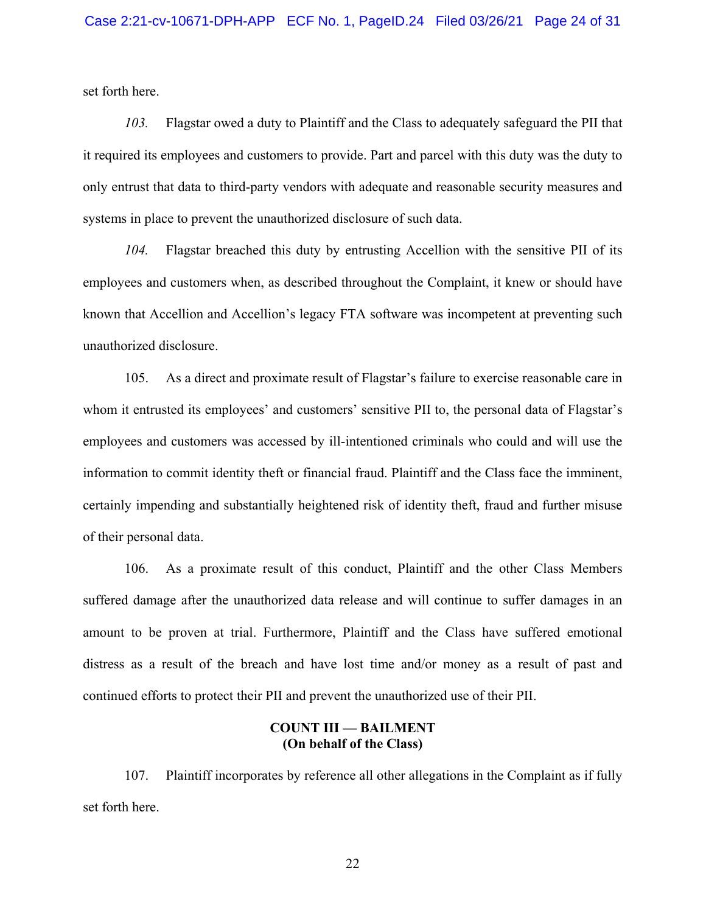set forth here.

*103.* Flagstar owed a duty to Plaintiff and the Class to adequately safeguard the PII that it required its employees and customers to provide. Part and parcel with this duty was the duty to only entrust that data to third-party vendors with adequate and reasonable security measures and systems in place to prevent the unauthorized disclosure of such data.

*104.* Flagstar breached this duty by entrusting Accellion with the sensitive PII of its employees and customers when, as described throughout the Complaint, it knew or should have known that Accellion and Accellion's legacy FTA software was incompetent at preventing such unauthorized disclosure.

105. As a direct and proximate result of Flagstar's failure to exercise reasonable care in whom it entrusted its employees' and customers' sensitive PII to, the personal data of Flagstar's employees and customers was accessed by ill-intentioned criminals who could and will use the information to commit identity theft or financial fraud. Plaintiff and the Class face the imminent, certainly impending and substantially heightened risk of identity theft, fraud and further misuse of their personal data.

106. As a proximate result of this conduct, Plaintiff and the other Class Members suffered damage after the unauthorized data release and will continue to suffer damages in an amount to be proven at trial. Furthermore, Plaintiff and the Class have suffered emotional distress as a result of the breach and have lost time and/or money as a result of past and continued efforts to protect their PII and prevent the unauthorized use of their PII.

## **COUNT III — BAILMENT (On behalf of the Class)**

107. Plaintiff incorporates by reference all other allegations in the Complaint as if fully set forth here.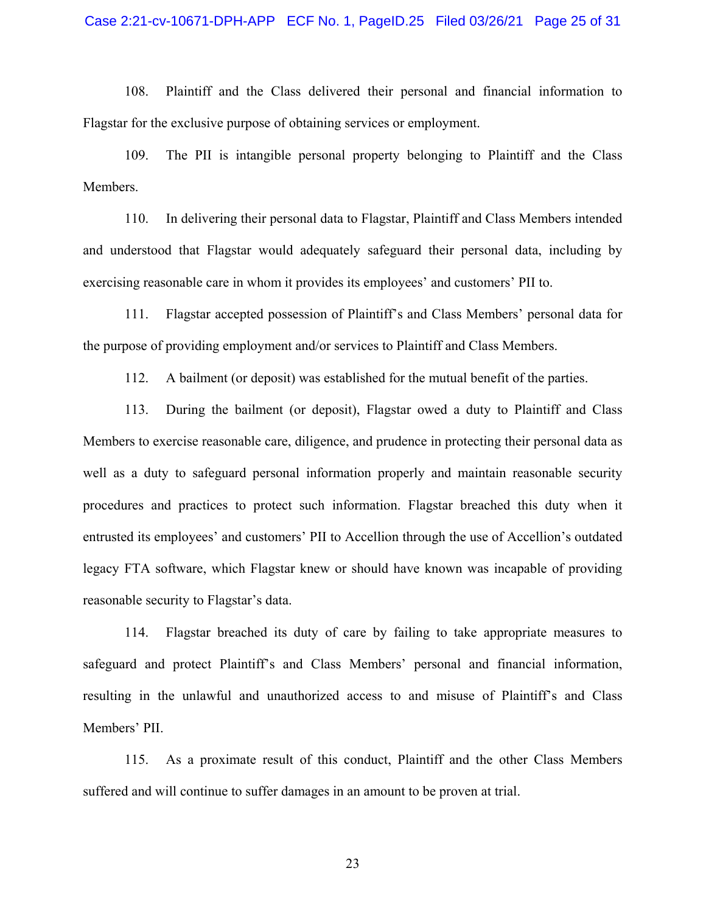108. Plaintiff and the Class delivered their personal and financial information to Flagstar for the exclusive purpose of obtaining services or employment.

109. The PII is intangible personal property belonging to Plaintiff and the Class Members.

110. In delivering their personal data to Flagstar, Plaintiff and Class Members intended and understood that Flagstar would adequately safeguard their personal data, including by exercising reasonable care in whom it provides its employees' and customers' PII to.

111. Flagstar accepted possession of Plaintiff's and Class Members' personal data for the purpose of providing employment and/or services to Plaintiff and Class Members.

112. A bailment (or deposit) was established for the mutual benefit of the parties.

113. During the bailment (or deposit), Flagstar owed a duty to Plaintiff and Class Members to exercise reasonable care, diligence, and prudence in protecting their personal data as well as a duty to safeguard personal information properly and maintain reasonable security procedures and practices to protect such information. Flagstar breached this duty when it entrusted its employees' and customers' PII to Accellion through the use of Accellion's outdated legacy FTA software, which Flagstar knew or should have known was incapable of providing reasonable security to Flagstar's data.

114. Flagstar breached its duty of care by failing to take appropriate measures to safeguard and protect Plaintiff's and Class Members' personal and financial information, resulting in the unlawful and unauthorized access to and misuse of Plaintiff's and Class Members' PII.

115. As a proximate result of this conduct, Plaintiff and the other Class Members suffered and will continue to suffer damages in an amount to be proven at trial.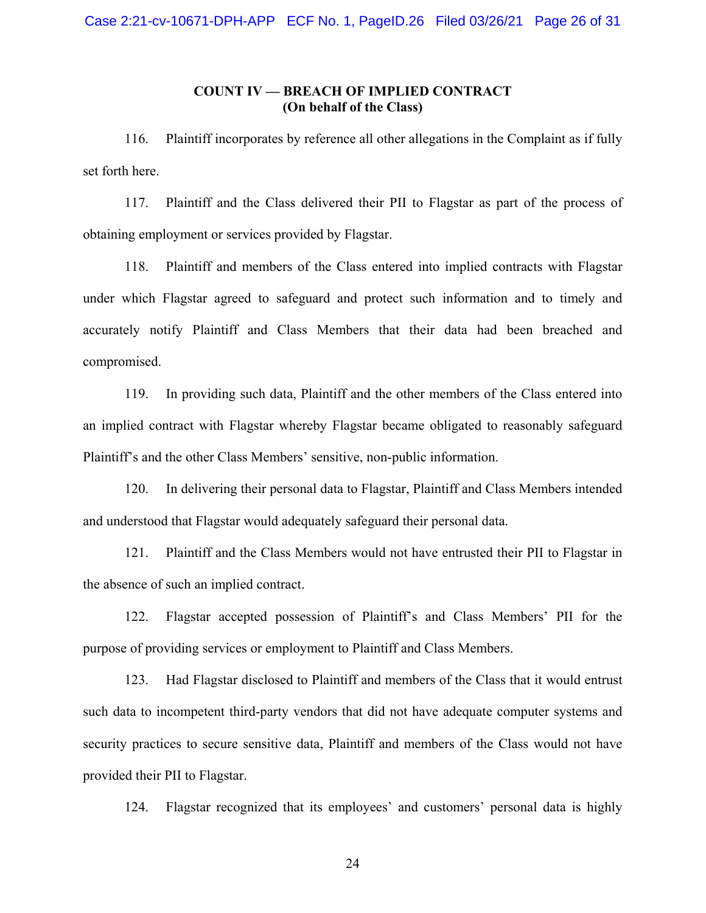# **COUNT IV — BREACH OF IMPLIED CONTRACT (On behalf of the Class)**

116. Plaintiff incorporates by reference all other allegations in the Complaint as if fully set forth here.

117. Plaintiff and the Class delivered their PII to Flagstar as part of the process of obtaining employment or services provided by Flagstar.

118. Plaintiff and members of the Class entered into implied contracts with Flagstar under which Flagstar agreed to safeguard and protect such information and to timely and accurately notify Plaintiff and Class Members that their data had been breached and compromised.

119. In providing such data, Plaintiff and the other members of the Class entered into an implied contract with Flagstar whereby Flagstar became obligated to reasonably safeguard Plaintiff's and the other Class Members' sensitive, non-public information.

120. In delivering their personal data to Flagstar, Plaintiff and Class Members intended and understood that Flagstar would adequately safeguard their personal data.

121. Plaintiff and the Class Members would not have entrusted their PII to Flagstar in the absence of such an implied contract.

122. Flagstar accepted possession of Plaintiff's and Class Members' PII for the purpose of providing services or employment to Plaintiff and Class Members.

123. Had Flagstar disclosed to Plaintiff and members of the Class that it would entrust such data to incompetent third-party vendors that did not have adequate computer systems and security practices to secure sensitive data, Plaintiff and members of the Class would not have provided their PII to Flagstar.

124. Flagstar recognized that its employees' and customers' personal data is highly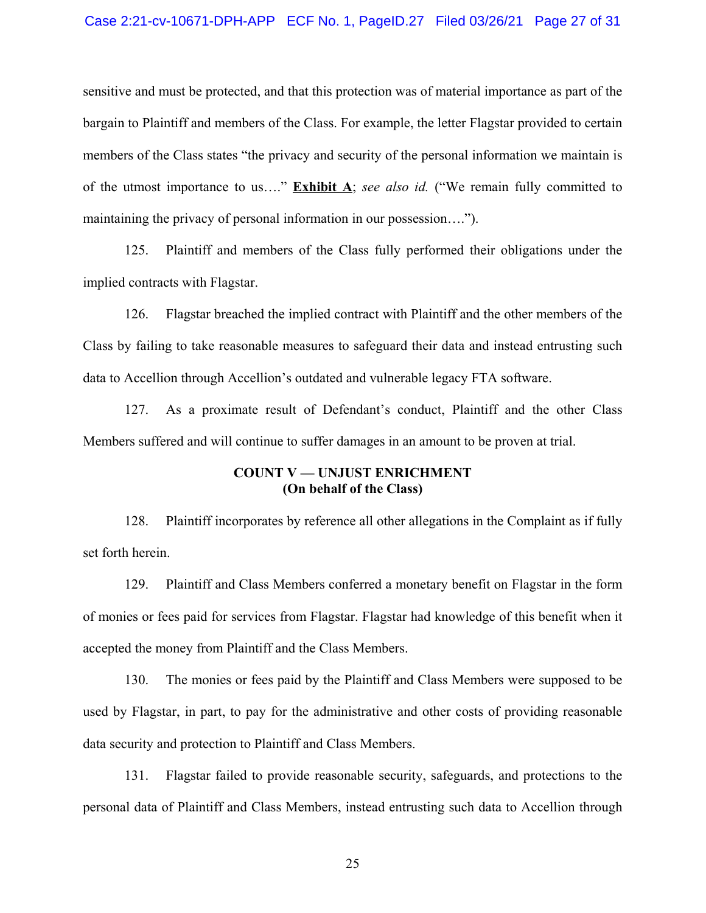#### Case 2:21-cv-10671-DPH-APP ECF No. 1, PageID.27 Filed 03/26/21 Page 27 of 31

sensitive and must be protected, and that this protection was of material importance as part of the bargain to Plaintiff and members of the Class. For example, the letter Flagstar provided to certain members of the Class states "the privacy and security of the personal information we maintain is of the utmost importance to us…." **Exhibit A**; *see also id.* ("We remain fully committed to maintaining the privacy of personal information in our possession….").

125. Plaintiff and members of the Class fully performed their obligations under the implied contracts with Flagstar.

126. Flagstar breached the implied contract with Plaintiff and the other members of the Class by failing to take reasonable measures to safeguard their data and instead entrusting such data to Accellion through Accellion's outdated and vulnerable legacy FTA software.

127. As a proximate result of Defendant's conduct, Plaintiff and the other Class Members suffered and will continue to suffer damages in an amount to be proven at trial.

## **COUNT V — UNJUST ENRICHMENT (On behalf of the Class)**

128. Plaintiff incorporates by reference all other allegations in the Complaint as if fully set forth herein.

129. Plaintiff and Class Members conferred a monetary benefit on Flagstar in the form of monies or fees paid for services from Flagstar. Flagstar had knowledge of this benefit when it accepted the money from Plaintiff and the Class Members.

130. The monies or fees paid by the Plaintiff and Class Members were supposed to be used by Flagstar, in part, to pay for the administrative and other costs of providing reasonable data security and protection to Plaintiff and Class Members.

131. Flagstar failed to provide reasonable security, safeguards, and protections to the personal data of Plaintiff and Class Members, instead entrusting such data to Accellion through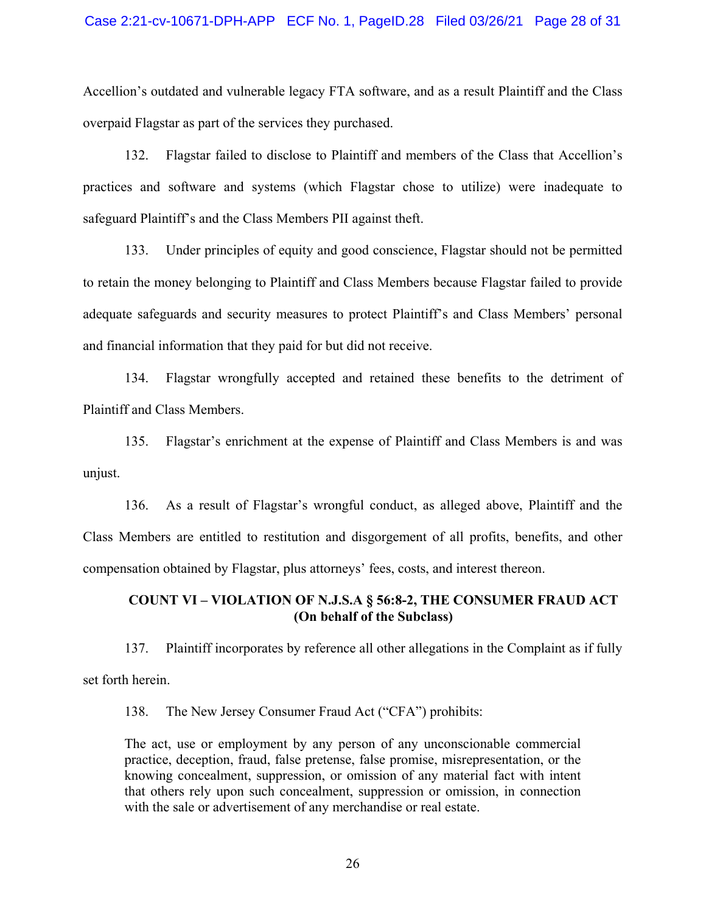#### Case 2:21-cv-10671-DPH-APP ECF No. 1, PageID.28 Filed 03/26/21 Page 28 of 31

Accellion's outdated and vulnerable legacy FTA software, and as a result Plaintiff and the Class overpaid Flagstar as part of the services they purchased.

132. Flagstar failed to disclose to Plaintiff and members of the Class that Accellion's practices and software and systems (which Flagstar chose to utilize) were inadequate to safeguard Plaintiff's and the Class Members PII against theft.

133. Under principles of equity and good conscience, Flagstar should not be permitted to retain the money belonging to Plaintiff and Class Members because Flagstar failed to provide adequate safeguards and security measures to protect Plaintiff's and Class Members' personal and financial information that they paid for but did not receive.

134. Flagstar wrongfully accepted and retained these benefits to the detriment of Plaintiff and Class Members.

135. Flagstar's enrichment at the expense of Plaintiff and Class Members is and was unjust.

136. As a result of Flagstar's wrongful conduct, as alleged above, Plaintiff and the Class Members are entitled to restitution and disgorgement of all profits, benefits, and other compensation obtained by Flagstar, plus attorneys' fees, costs, and interest thereon.

# **COUNT VI – VIOLATION OF N.J.S.A § 56:8-2, THE CONSUMER FRAUD ACT (On behalf of the Subclass)**

137. Plaintiff incorporates by reference all other allegations in the Complaint as if fully set forth herein.

138. The New Jersey Consumer Fraud Act ("CFA") prohibits:

The act, use or employment by any person of any unconscionable commercial practice, deception, fraud, false pretense, false promise, misrepresentation, or the knowing concealment, suppression, or omission of any material fact with intent that others rely upon such concealment, suppression or omission, in connection with the sale or advertisement of any merchandise or real estate.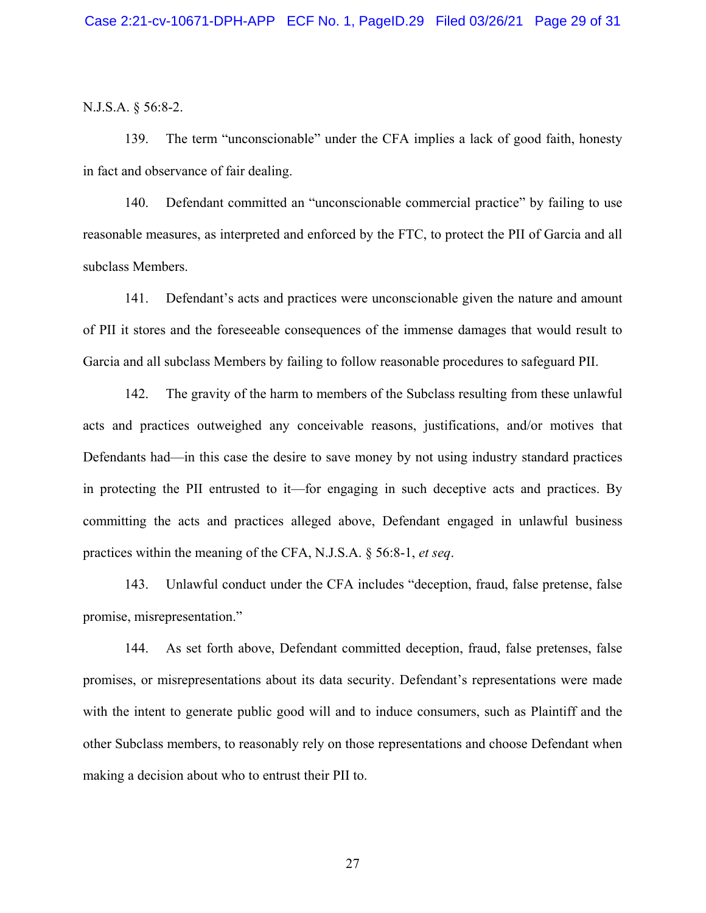N.J.S.A. § 56:8-2.

139. The term "unconscionable" under the CFA implies a lack of good faith, honesty in fact and observance of fair dealing.

140. Defendant committed an "unconscionable commercial practice" by failing to use reasonable measures, as interpreted and enforced by the FTC, to protect the PII of Garcia and all subclass Members.

141. Defendant's acts and practices were unconscionable given the nature and amount of PII it stores and the foreseeable consequences of the immense damages that would result to Garcia and all subclass Members by failing to follow reasonable procedures to safeguard PII.

142. The gravity of the harm to members of the Subclass resulting from these unlawful acts and practices outweighed any conceivable reasons, justifications, and/or motives that Defendants had—in this case the desire to save money by not using industry standard practices in protecting the PII entrusted to it—for engaging in such deceptive acts and practices. By committing the acts and practices alleged above, Defendant engaged in unlawful business practices within the meaning of the CFA, N.J.S.A. § 56:8-1, *et seq*.

143. Unlawful conduct under the CFA includes "deception, fraud, false pretense, false promise, misrepresentation."

144. As set forth above, Defendant committed deception, fraud, false pretenses, false promises, or misrepresentations about its data security. Defendant's representations were made with the intent to generate public good will and to induce consumers, such as Plaintiff and the other Subclass members, to reasonably rely on those representations and choose Defendant when making a decision about who to entrust their PII to.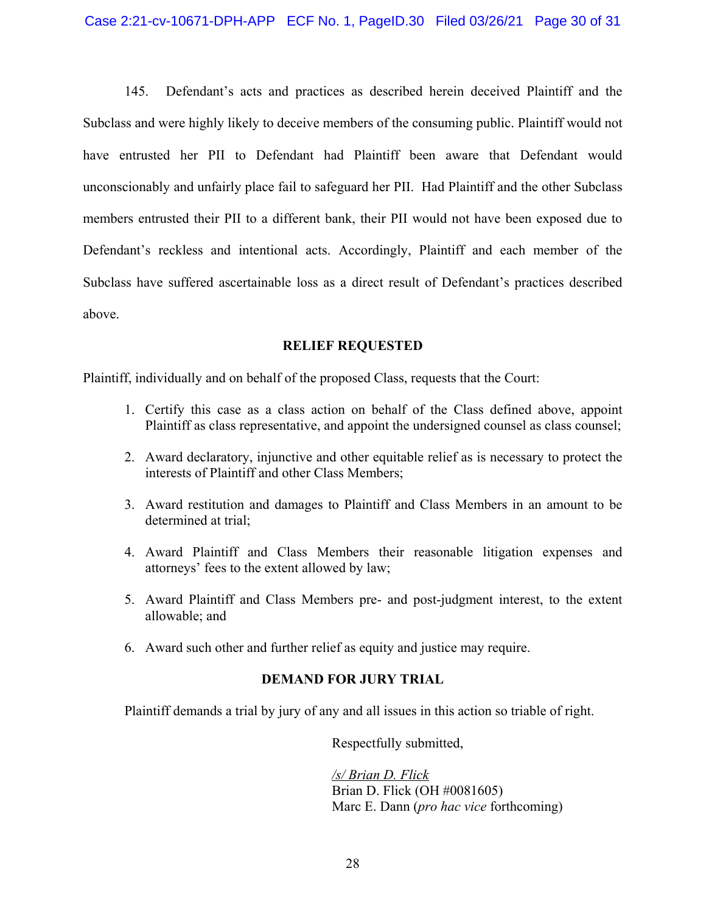145. Defendant's acts and practices as described herein deceived Plaintiff and the Subclass and were highly likely to deceive members of the consuming public. Plaintiff would not have entrusted her PII to Defendant had Plaintiff been aware that Defendant would unconscionably and unfairly place fail to safeguard her PII. Had Plaintiff and the other Subclass members entrusted their PII to a different bank, their PII would not have been exposed due to Defendant's reckless and intentional acts. Accordingly, Plaintiff and each member of the Subclass have suffered ascertainable loss as a direct result of Defendant's practices described above.

# **RELIEF REQUESTED**

Plaintiff, individually and on behalf of the proposed Class, requests that the Court:

- 1. Certify this case as a class action on behalf of the Class defined above, appoint Plaintiff as class representative, and appoint the undersigned counsel as class counsel;
- 2. Award declaratory, injunctive and other equitable relief as is necessary to protect the interests of Plaintiff and other Class Members;
- 3. Award restitution and damages to Plaintiff and Class Members in an amount to be determined at trial;
- 4. Award Plaintiff and Class Members their reasonable litigation expenses and attorneys' fees to the extent allowed by law;
- 5. Award Plaintiff and Class Members pre- and post-judgment interest, to the extent allowable; and
- 6. Award such other and further relief as equity and justice may require.

# **DEMAND FOR JURY TRIAL**

Plaintiff demands a trial by jury of any and all issues in this action so triable of right.

Respectfully submitted,

*/s/ Brian D. Flick* Brian D. Flick (OH #0081605) Marc E. Dann (*pro hac vice* forthcoming)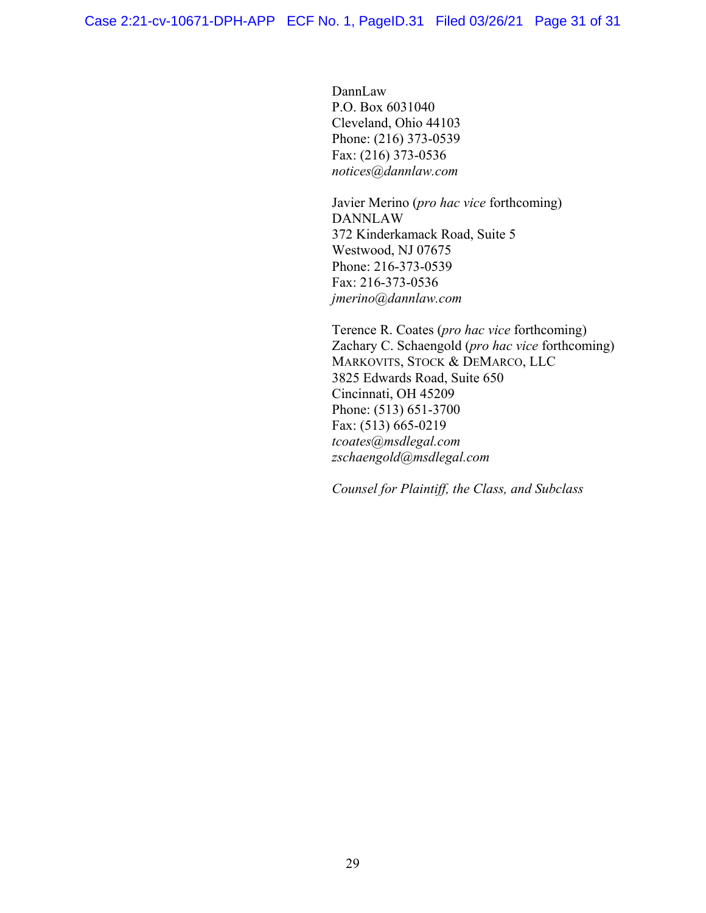DannLaw P.O. Box 6031040 Cleveland, Ohio 44103 Phone: (216) 373-0539 Fax: (216) 373-0536 *notices@dannlaw.com*

Javier Merino (*pro hac vice* forthcoming) DANNLAW 372 Kinderkamack Road, Suite 5 Westwood, NJ 07675 Phone: 216-373-0539 Fax: 216-373-0536 *jmerino@dannlaw.com*

Terence R. Coates (*pro hac vice* forthcoming) Zachary C. Schaengold (*pro hac vice* forthcoming) MARKOVITS, STOCK & DEMARCO, LLC 3825 Edwards Road, Suite 650 Cincinnati, OH 45209 Phone: (513) 651-3700 Fax: (513) 665-0219 *tcoates@msdlegal.com zschaengold@msdlegal.com*

*Counsel for Plaintiff, the Class, and Subclass*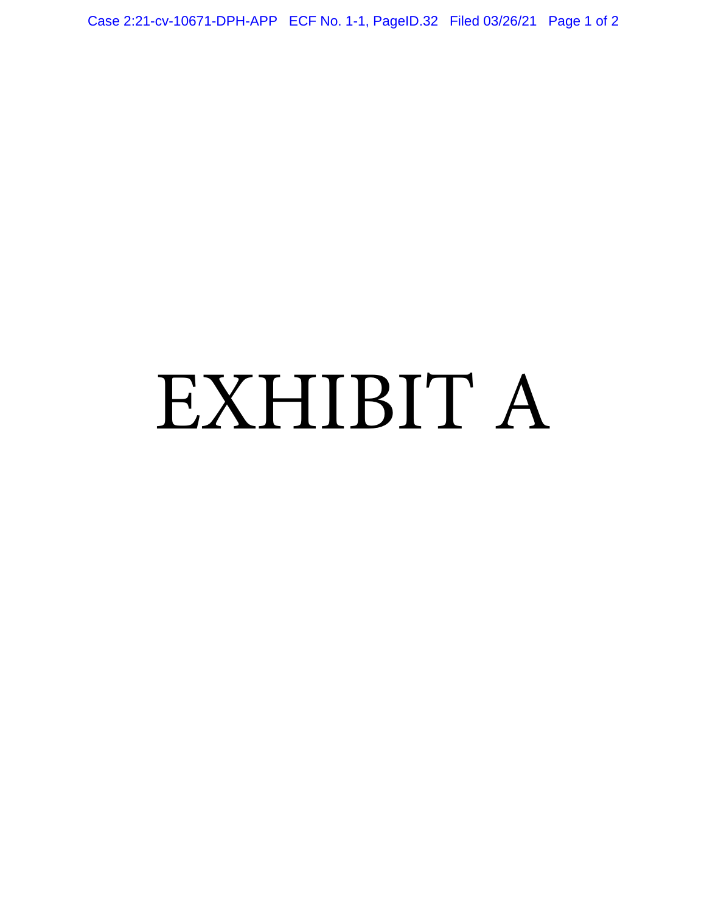Case 2:21-cv-10671-DPH-APP ECF No. 1-1, PageID.32 Filed 03/26/21 Page 1 of 2

# EXHIBIT A